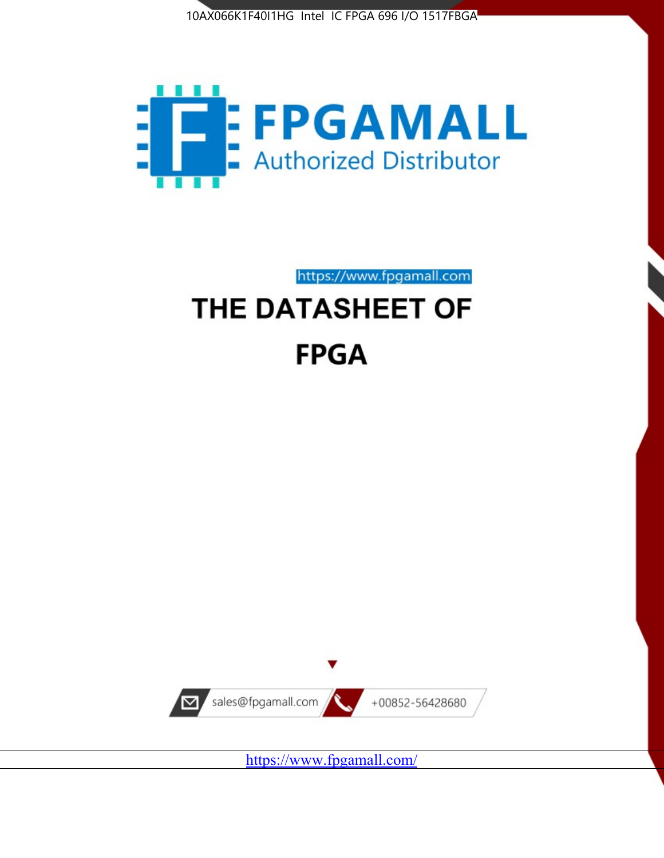



# https://www.fpgamall.com THE DATASHEET OF **FPGA**



<https://www.fpgamall.com/>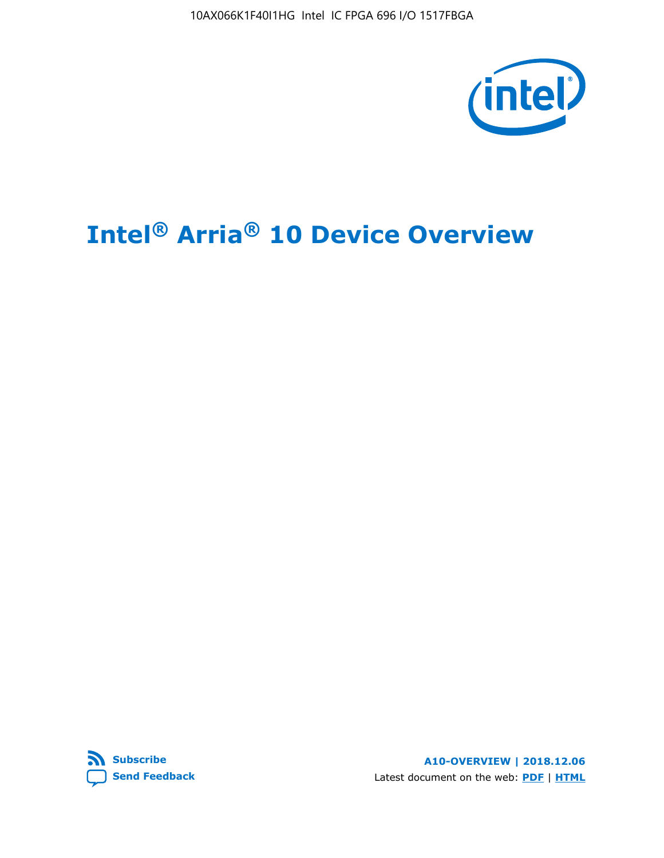

# **Intel® Arria® 10 Device Overview**



**A10-OVERVIEW | 2018.12.06** Latest document on the web: **[PDF](https://www.intel.com/content/dam/www/programmable/us/en/pdfs/literature/hb/arria-10/a10_overview.pdf)** | **[HTML](https://www.intel.com/content/www/us/en/programmable/documentation/sam1403480274650.html)**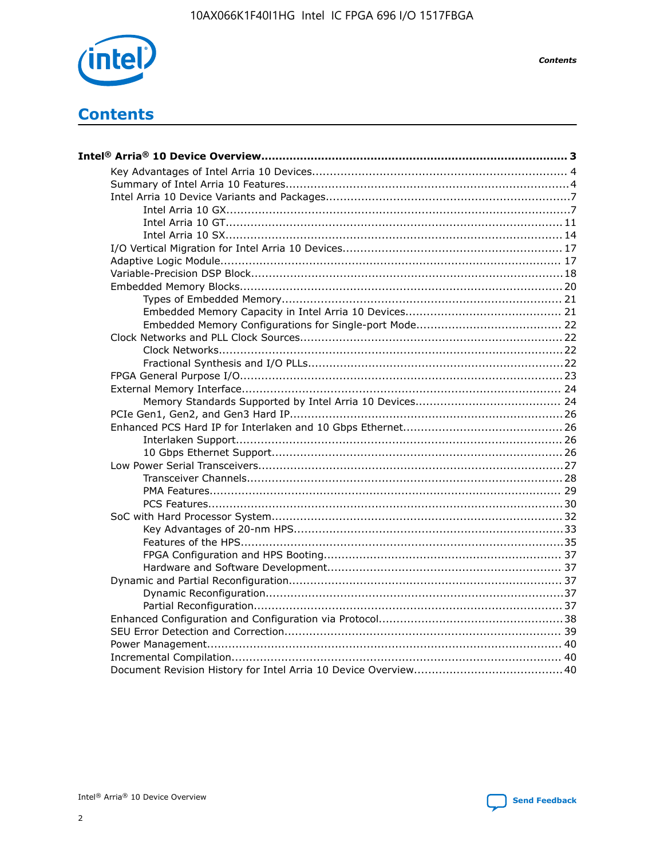

**Contents** 

# **Contents**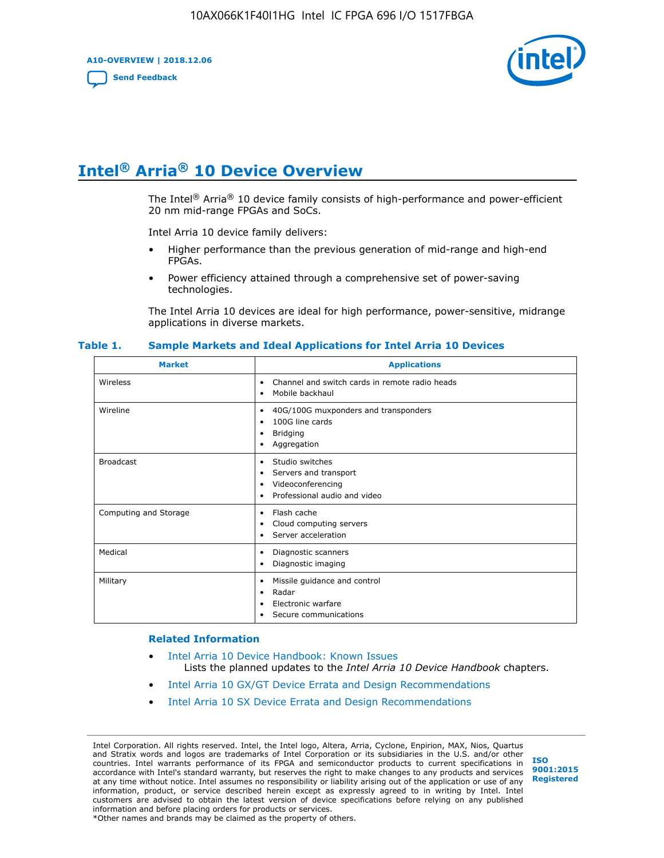**A10-OVERVIEW | 2018.12.06**

**[Send Feedback](mailto:FPGAtechdocfeedback@intel.com?subject=Feedback%20on%20Intel%20Arria%2010%20Device%20Overview%20(A10-OVERVIEW%202018.12.06)&body=We%20appreciate%20your%20feedback.%20In%20your%20comments,%20also%20specify%20the%20page%20number%20or%20paragraph.%20Thank%20you.)**



# **Intel® Arria® 10 Device Overview**

The Intel<sup>®</sup> Arria<sup>®</sup> 10 device family consists of high-performance and power-efficient 20 nm mid-range FPGAs and SoCs.

Intel Arria 10 device family delivers:

- Higher performance than the previous generation of mid-range and high-end FPGAs.
- Power efficiency attained through a comprehensive set of power-saving technologies.

The Intel Arria 10 devices are ideal for high performance, power-sensitive, midrange applications in diverse markets.

| <b>Market</b>         | <b>Applications</b>                                                                                                       |
|-----------------------|---------------------------------------------------------------------------------------------------------------------------|
| Wireless              | Channel and switch cards in remote radio heads<br>$\bullet$<br>Mobile backhaul<br>٠                                       |
| Wireline              | 40G/100G muxponders and transponders<br>٠<br>100G line cards<br>$\bullet$<br><b>Bridging</b><br>٠<br>Aggregation<br>٠     |
| <b>Broadcast</b>      | Studio switches<br>$\bullet$<br>Servers and transport<br>٠<br>Videoconferencing<br>٠<br>Professional audio and video<br>٠ |
| Computing and Storage | Flash cache<br>٠<br>Cloud computing servers<br>٠<br>Server acceleration<br>٠                                              |
| Medical               | Diagnostic scanners<br>٠<br>Diagnostic imaging<br>٠                                                                       |
| Military              | Missile guidance and control<br>٠<br>Radar<br>٠<br>Electronic warfare<br>٠<br>Secure communications<br>٠                  |

#### **Table 1. Sample Markets and Ideal Applications for Intel Arria 10 Devices**

#### **Related Information**

- [Intel Arria 10 Device Handbook: Known Issues](http://www.altera.com/support/kdb/solutions/rd07302013_646.html) Lists the planned updates to the *Intel Arria 10 Device Handbook* chapters.
- [Intel Arria 10 GX/GT Device Errata and Design Recommendations](https://www.intel.com/content/www/us/en/programmable/documentation/agz1493851706374.html#yqz1494433888646)
- [Intel Arria 10 SX Device Errata and Design Recommendations](https://www.intel.com/content/www/us/en/programmable/documentation/cru1462832385668.html#cru1462832558642)

Intel Corporation. All rights reserved. Intel, the Intel logo, Altera, Arria, Cyclone, Enpirion, MAX, Nios, Quartus and Stratix words and logos are trademarks of Intel Corporation or its subsidiaries in the U.S. and/or other countries. Intel warrants performance of its FPGA and semiconductor products to current specifications in accordance with Intel's standard warranty, but reserves the right to make changes to any products and services at any time without notice. Intel assumes no responsibility or liability arising out of the application or use of any information, product, or service described herein except as expressly agreed to in writing by Intel. Intel customers are advised to obtain the latest version of device specifications before relying on any published information and before placing orders for products or services. \*Other names and brands may be claimed as the property of others.

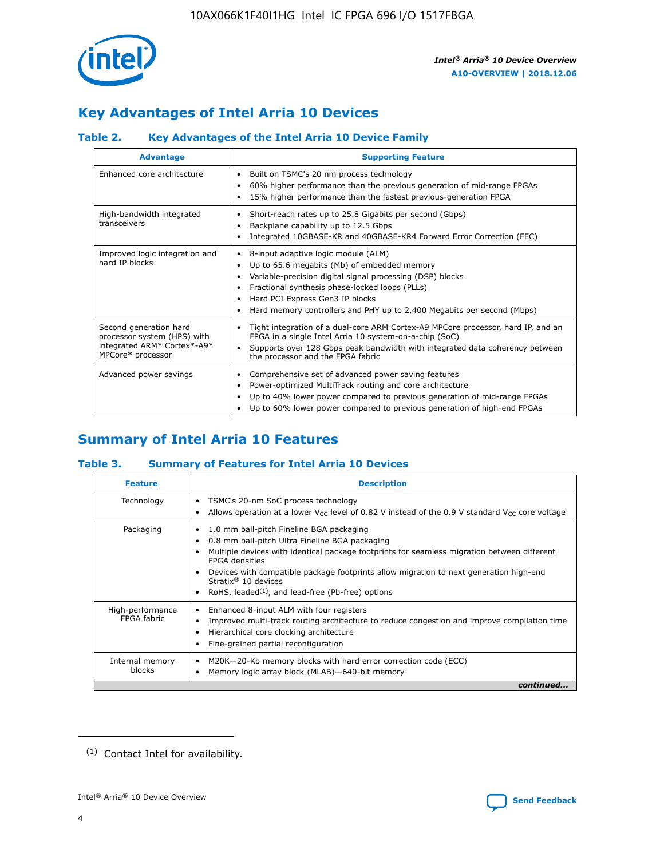

# **Key Advantages of Intel Arria 10 Devices**

# **Table 2. Key Advantages of the Intel Arria 10 Device Family**

| <b>Advantage</b>                                                                                          | <b>Supporting Feature</b>                                                                                                                                                                                                                                                                                                     |
|-----------------------------------------------------------------------------------------------------------|-------------------------------------------------------------------------------------------------------------------------------------------------------------------------------------------------------------------------------------------------------------------------------------------------------------------------------|
| Enhanced core architecture                                                                                | Built on TSMC's 20 nm process technology<br>٠<br>60% higher performance than the previous generation of mid-range FPGAs<br>٠<br>15% higher performance than the fastest previous-generation FPGA                                                                                                                              |
| High-bandwidth integrated<br>transceivers                                                                 | Short-reach rates up to 25.8 Gigabits per second (Gbps)<br>٠<br>Backplane capability up to 12.5 Gbps<br>٠<br>Integrated 10GBASE-KR and 40GBASE-KR4 Forward Error Correction (FEC)<br>٠                                                                                                                                        |
| Improved logic integration and<br>hard IP blocks                                                          | 8-input adaptive logic module (ALM)<br>٠<br>Up to 65.6 megabits (Mb) of embedded memory<br>٠<br>Variable-precision digital signal processing (DSP) blocks<br>Fractional synthesis phase-locked loops (PLLs)<br>٠<br>Hard PCI Express Gen3 IP blocks<br>Hard memory controllers and PHY up to 2,400 Megabits per second (Mbps) |
| Second generation hard<br>processor system (HPS) with<br>integrated ARM* Cortex*-A9*<br>MPCore* processor | Tight integration of a dual-core ARM Cortex-A9 MPCore processor, hard IP, and an<br>٠<br>FPGA in a single Intel Arria 10 system-on-a-chip (SoC)<br>Supports over 128 Gbps peak bandwidth with integrated data coherency between<br>$\bullet$<br>the processor and the FPGA fabric                                             |
| Advanced power savings                                                                                    | Comprehensive set of advanced power saving features<br>٠<br>Power-optimized MultiTrack routing and core architecture<br>٠<br>Up to 40% lower power compared to previous generation of mid-range FPGAs<br>٠<br>Up to 60% lower power compared to previous generation of high-end FPGAs                                         |

# **Summary of Intel Arria 10 Features**

## **Table 3. Summary of Features for Intel Arria 10 Devices**

| <b>Feature</b>                  | <b>Description</b>                                                                                                                                                                                                                                                                                                                                                                                 |
|---------------------------------|----------------------------------------------------------------------------------------------------------------------------------------------------------------------------------------------------------------------------------------------------------------------------------------------------------------------------------------------------------------------------------------------------|
| Technology                      | TSMC's 20-nm SoC process technology<br>Allows operation at a lower $V_{\text{CC}}$ level of 0.82 V instead of the 0.9 V standard $V_{\text{CC}}$ core voltage                                                                                                                                                                                                                                      |
| Packaging                       | 1.0 mm ball-pitch Fineline BGA packaging<br>٠<br>0.8 mm ball-pitch Ultra Fineline BGA packaging<br>Multiple devices with identical package footprints for seamless migration between different<br><b>FPGA</b> densities<br>Devices with compatible package footprints allow migration to next generation high-end<br>Stratix $@10$ devices<br>RoHS, leaded $(1)$ , and lead-free (Pb-free) options |
| High-performance<br>FPGA fabric | Enhanced 8-input ALM with four registers<br>Improved multi-track routing architecture to reduce congestion and improve compilation time<br>Hierarchical core clocking architecture<br>Fine-grained partial reconfiguration                                                                                                                                                                         |
| Internal memory<br>blocks       | M20K-20-Kb memory blocks with hard error correction code (ECC)<br>Memory logic array block (MLAB)-640-bit memory                                                                                                                                                                                                                                                                                   |
|                                 | continued                                                                                                                                                                                                                                                                                                                                                                                          |



<sup>(1)</sup> Contact Intel for availability.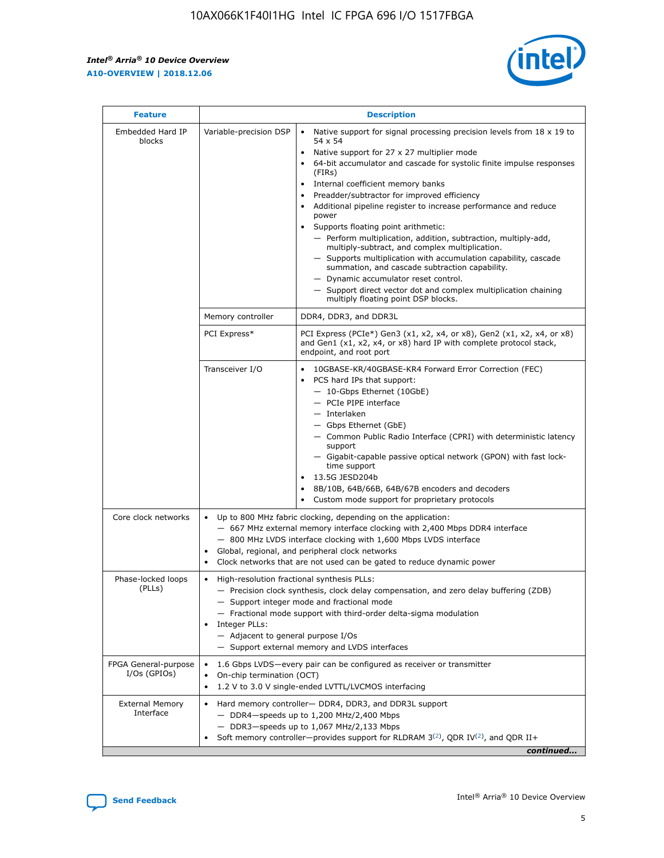r



| <b>Feature</b>                         | <b>Description</b>                                                                                             |                                                                                                                                                                                                                                                                                                                                                                                                                                                                                                                                                                                                                                                                                                                                                                                                                                        |  |  |  |  |  |
|----------------------------------------|----------------------------------------------------------------------------------------------------------------|----------------------------------------------------------------------------------------------------------------------------------------------------------------------------------------------------------------------------------------------------------------------------------------------------------------------------------------------------------------------------------------------------------------------------------------------------------------------------------------------------------------------------------------------------------------------------------------------------------------------------------------------------------------------------------------------------------------------------------------------------------------------------------------------------------------------------------------|--|--|--|--|--|
| Embedded Hard IP<br>blocks             | Variable-precision DSP                                                                                         | Native support for signal processing precision levels from $18 \times 19$ to<br>54 x 54<br>Native support for 27 x 27 multiplier mode<br>64-bit accumulator and cascade for systolic finite impulse responses<br>(FIRs)<br>Internal coefficient memory banks<br>$\bullet$<br>Preadder/subtractor for improved efficiency<br>Additional pipeline register to increase performance and reduce<br>power<br>Supports floating point arithmetic:<br>- Perform multiplication, addition, subtraction, multiply-add,<br>multiply-subtract, and complex multiplication.<br>- Supports multiplication with accumulation capability, cascade<br>summation, and cascade subtraction capability.<br>- Dynamic accumulator reset control.<br>- Support direct vector dot and complex multiplication chaining<br>multiply floating point DSP blocks. |  |  |  |  |  |
|                                        | Memory controller                                                                                              | DDR4, DDR3, and DDR3L                                                                                                                                                                                                                                                                                                                                                                                                                                                                                                                                                                                                                                                                                                                                                                                                                  |  |  |  |  |  |
|                                        | PCI Express*                                                                                                   | PCI Express (PCIe*) Gen3 (x1, x2, x4, or x8), Gen2 (x1, x2, x4, or x8)<br>and Gen1 (x1, x2, x4, or x8) hard IP with complete protocol stack,<br>endpoint, and root port                                                                                                                                                                                                                                                                                                                                                                                                                                                                                                                                                                                                                                                                |  |  |  |  |  |
|                                        | Transceiver I/O                                                                                                | 10GBASE-KR/40GBASE-KR4 Forward Error Correction (FEC)<br>PCS hard IPs that support:<br>$\bullet$<br>- 10-Gbps Ethernet (10GbE)<br>- PCIe PIPE interface<br>$-$ Interlaken<br>- Gbps Ethernet (GbE)<br>- Common Public Radio Interface (CPRI) with deterministic latency<br>support<br>- Gigabit-capable passive optical network (GPON) with fast lock-<br>time support<br>13.5G JESD204b<br>$\bullet$<br>8B/10B, 64B/66B, 64B/67B encoders and decoders<br>Custom mode support for proprietary protocols                                                                                                                                                                                                                                                                                                                               |  |  |  |  |  |
| Core clock networks                    | $\bullet$<br>$\bullet$                                                                                         | Up to 800 MHz fabric clocking, depending on the application:<br>- 667 MHz external memory interface clocking with 2,400 Mbps DDR4 interface<br>- 800 MHz LVDS interface clocking with 1,600 Mbps LVDS interface<br>Global, regional, and peripheral clock networks<br>Clock networks that are not used can be gated to reduce dynamic power                                                                                                                                                                                                                                                                                                                                                                                                                                                                                            |  |  |  |  |  |
| Phase-locked loops<br>(PLLs)           | High-resolution fractional synthesis PLLs:<br>$\bullet$<br>Integer PLLs:<br>- Adjacent to general purpose I/Os | - Precision clock synthesis, clock delay compensation, and zero delay buffering (ZDB)<br>- Support integer mode and fractional mode<br>- Fractional mode support with third-order delta-sigma modulation<br>- Support external memory and LVDS interfaces                                                                                                                                                                                                                                                                                                                                                                                                                                                                                                                                                                              |  |  |  |  |  |
| FPGA General-purpose<br>$I/Os$ (GPIOs) | On-chip termination (OCT)                                                                                      | 1.6 Gbps LVDS-every pair can be configured as receiver or transmitter<br>1.2 V to 3.0 V single-ended LVTTL/LVCMOS interfacing                                                                                                                                                                                                                                                                                                                                                                                                                                                                                                                                                                                                                                                                                                          |  |  |  |  |  |
| <b>External Memory</b><br>Interface    |                                                                                                                | Hard memory controller- DDR4, DDR3, and DDR3L support<br>$-$ DDR4-speeds up to 1,200 MHz/2,400 Mbps<br>- DDR3-speeds up to 1,067 MHz/2,133 Mbps<br>Soft memory controller—provides support for RLDRAM $3^{(2)}$ , QDR IV $^{(2)}$ , and QDR II+<br>continued                                                                                                                                                                                                                                                                                                                                                                                                                                                                                                                                                                           |  |  |  |  |  |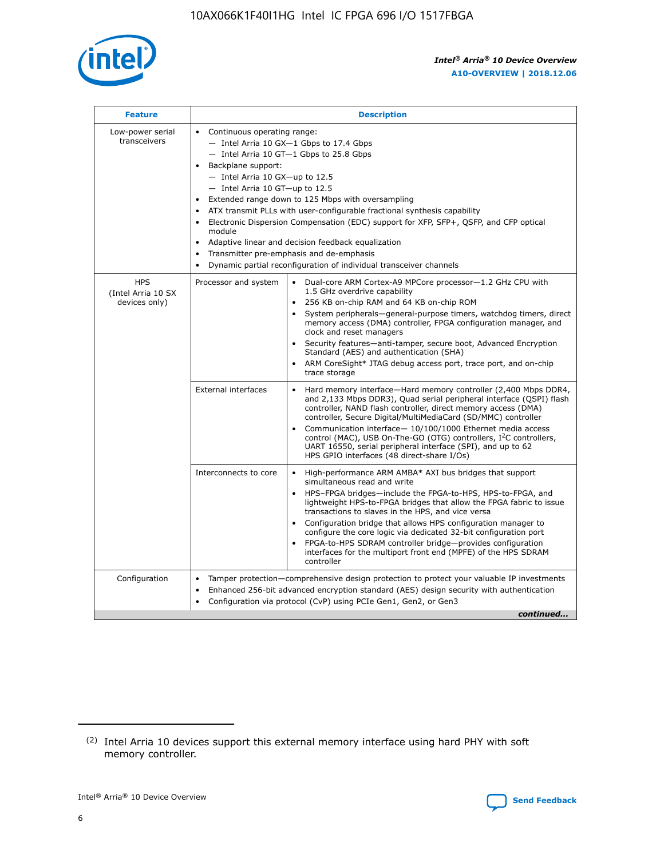

| <b>Feature</b>                                    | <b>Description</b>                                                                                                                                                                                                                                                                                                                                                                                                                                                                                                                                                                                                                                                        |
|---------------------------------------------------|---------------------------------------------------------------------------------------------------------------------------------------------------------------------------------------------------------------------------------------------------------------------------------------------------------------------------------------------------------------------------------------------------------------------------------------------------------------------------------------------------------------------------------------------------------------------------------------------------------------------------------------------------------------------------|
| Low-power serial<br>transceivers                  | • Continuous operating range:<br>- Intel Arria 10 GX-1 Gbps to 17.4 Gbps<br>$-$ Intel Arria 10 GT $-1$ Gbps to 25.8 Gbps<br>Backplane support:<br>$\bullet$<br>$-$ Intel Arria 10 GX-up to 12.5<br>$-$ Intel Arria 10 GT-up to 12.5<br>Extended range down to 125 Mbps with oversampling<br>ATX transmit PLLs with user-configurable fractional synthesis capability<br>Electronic Dispersion Compensation (EDC) support for XFP, SFP+, OSFP, and CFP optical<br>module<br>Adaptive linear and decision feedback equalization<br>$\bullet$<br>Transmitter pre-emphasis and de-emphasis<br>$\bullet$<br>Dynamic partial reconfiguration of individual transceiver channels |
| <b>HPS</b><br>(Intel Arria 10 SX<br>devices only) | Dual-core ARM Cortex-A9 MPCore processor-1.2 GHz CPU with<br>Processor and system<br>$\bullet$<br>1.5 GHz overdrive capability<br>256 KB on-chip RAM and 64 KB on-chip ROM<br>System peripherals-general-purpose timers, watchdog timers, direct<br>memory access (DMA) controller, FPGA configuration manager, and<br>clock and reset managers<br>• Security features—anti-tamper, secure boot, Advanced Encryption<br>Standard (AES) and authentication (SHA)<br>ARM CoreSight* JTAG debug access port, trace port, and on-chip<br>$\bullet$<br>trace storage                                                                                                           |
|                                                   | <b>External interfaces</b><br>Hard memory interface—Hard memory controller (2,400 Mbps DDR4,<br>and 2,133 Mbps DDR3), Quad serial peripheral interface (QSPI) flash<br>controller, NAND flash controller, direct memory access (DMA)<br>controller, Secure Digital/MultiMediaCard (SD/MMC) controller<br>Communication interface-10/100/1000 Ethernet media access<br>$\bullet$<br>control (MAC), USB On-The-GO (OTG) controllers, I <sup>2</sup> C controllers,<br>UART 16550, serial peripheral interface (SPI), and up to 62<br>HPS GPIO interfaces (48 direct-share I/Os)                                                                                             |
|                                                   | Interconnects to core<br>• High-performance ARM AMBA* AXI bus bridges that support<br>simultaneous read and write<br>HPS-FPGA bridges-include the FPGA-to-HPS, HPS-to-FPGA, and<br>$\bullet$<br>lightweight HPS-to-FPGA bridges that allow the FPGA fabric to issue<br>transactions to slaves in the HPS, and vice versa<br>Configuration bridge that allows HPS configuration manager to<br>configure the core logic via dedicated 32-bit configuration port<br>FPGA-to-HPS SDRAM controller bridge-provides configuration<br>interfaces for the multiport front end (MPFE) of the HPS SDRAM<br>controller                                                               |
| Configuration                                     | Tamper protection—comprehensive design protection to protect your valuable IP investments<br>Enhanced 256-bit advanced encryption standard (AES) design security with authentication<br>$\bullet$<br>Configuration via protocol (CvP) using PCIe Gen1, Gen2, or Gen3<br>continued                                                                                                                                                                                                                                                                                                                                                                                         |

<sup>(2)</sup> Intel Arria 10 devices support this external memory interface using hard PHY with soft memory controller.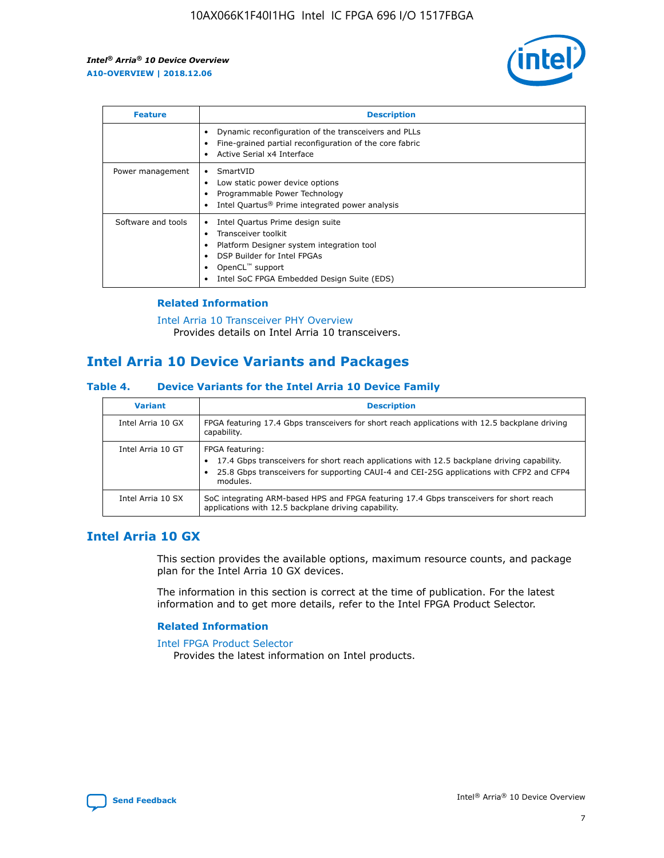

| <b>Feature</b>     | <b>Description</b>                                                                                                                                                                                               |
|--------------------|------------------------------------------------------------------------------------------------------------------------------------------------------------------------------------------------------------------|
|                    | Dynamic reconfiguration of the transceivers and PLLs<br>Fine-grained partial reconfiguration of the core fabric<br>Active Serial x4 Interface<br>$\bullet$                                                       |
| Power management   | SmartVID<br>Low static power device options<br>Programmable Power Technology<br>Intel Quartus <sup>®</sup> Prime integrated power analysis                                                                       |
| Software and tools | Intel Quartus Prime design suite<br>Transceiver toolkit<br>Platform Designer system integration tool<br>DSP Builder for Intel FPGAs<br>OpenCL <sup>™</sup> support<br>Intel SoC FPGA Embedded Design Suite (EDS) |

# **Related Information**

[Intel Arria 10 Transceiver PHY Overview](https://www.intel.com/content/www/us/en/programmable/documentation/nik1398707230472.html#nik1398706768037) Provides details on Intel Arria 10 transceivers.

# **Intel Arria 10 Device Variants and Packages**

#### **Table 4. Device Variants for the Intel Arria 10 Device Family**

| <b>Variant</b>    | <b>Description</b>                                                                                                                                                                                                     |
|-------------------|------------------------------------------------------------------------------------------------------------------------------------------------------------------------------------------------------------------------|
| Intel Arria 10 GX | FPGA featuring 17.4 Gbps transceivers for short reach applications with 12.5 backplane driving<br>capability.                                                                                                          |
| Intel Arria 10 GT | FPGA featuring:<br>17.4 Gbps transceivers for short reach applications with 12.5 backplane driving capability.<br>25.8 Gbps transceivers for supporting CAUI-4 and CEI-25G applications with CFP2 and CFP4<br>modules. |
| Intel Arria 10 SX | SoC integrating ARM-based HPS and FPGA featuring 17.4 Gbps transceivers for short reach<br>applications with 12.5 backplane driving capability.                                                                        |

# **Intel Arria 10 GX**

This section provides the available options, maximum resource counts, and package plan for the Intel Arria 10 GX devices.

The information in this section is correct at the time of publication. For the latest information and to get more details, refer to the Intel FPGA Product Selector.

#### **Related Information**

#### [Intel FPGA Product Selector](http://www.altera.com/products/selector/psg-selector.html) Provides the latest information on Intel products.

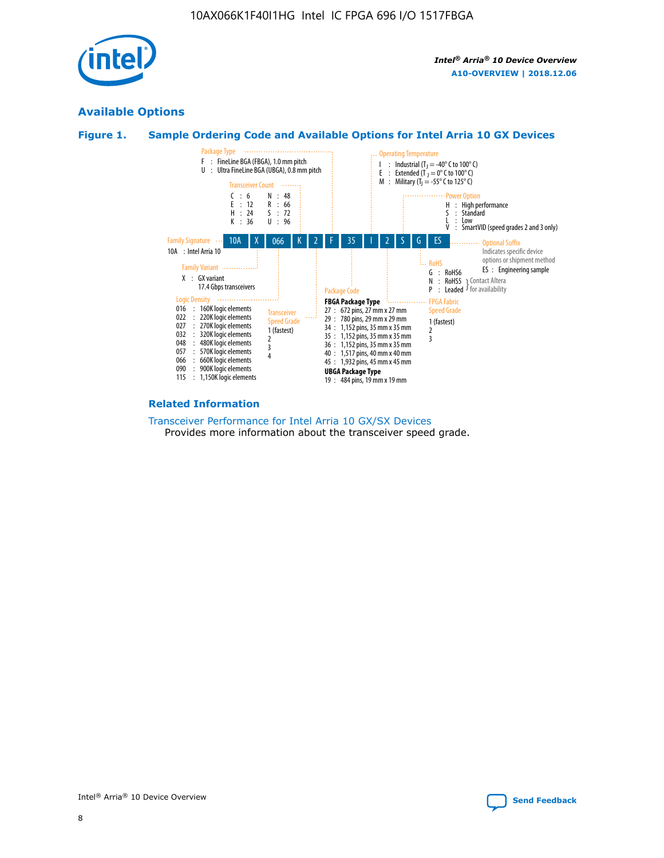

# **Available Options**





#### **Related Information**

[Transceiver Performance for Intel Arria 10 GX/SX Devices](https://www.intel.com/content/www/us/en/programmable/documentation/mcn1413182292568.html#mcn1413213965502) Provides more information about the transceiver speed grade.

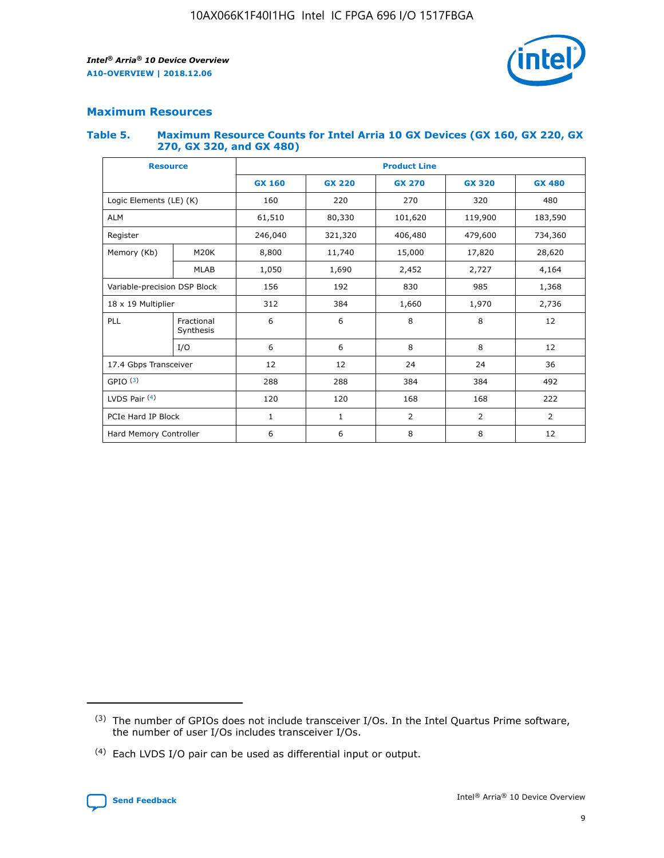

# **Maximum Resources**

#### **Table 5. Maximum Resource Counts for Intel Arria 10 GX Devices (GX 160, GX 220, GX 270, GX 320, and GX 480)**

| <b>Resource</b>         |                                                          | <b>Product Line</b> |                                                 |         |                |                |  |  |  |
|-------------------------|----------------------------------------------------------|---------------------|-------------------------------------------------|---------|----------------|----------------|--|--|--|
|                         |                                                          | <b>GX 160</b>       | <b>GX 220</b><br><b>GX 270</b><br><b>GX 320</b> |         |                | <b>GX 480</b>  |  |  |  |
| Logic Elements (LE) (K) |                                                          | 160                 | 220                                             | 270     | 320            | 480            |  |  |  |
| <b>ALM</b>              |                                                          | 61,510              | 80,330                                          | 101,620 | 119,900        | 183,590        |  |  |  |
| Register                |                                                          | 246,040             | 321,320                                         | 406,480 | 479,600        | 734,360        |  |  |  |
| Memory (Kb)             | M <sub>20</sub> K                                        | 8,800               | 11,740                                          | 15,000  | 17,820         | 28,620         |  |  |  |
| <b>MLAB</b>             |                                                          | 1,050               | 1,690                                           | 2,452   | 2,727          | 4,164          |  |  |  |
|                         | Variable-precision DSP Block<br>156<br>192<br>830<br>985 |                     |                                                 |         | 1,368          |                |  |  |  |
| 18 x 19 Multiplier      |                                                          | 312                 | 384                                             | 1,660   | 1,970          | 2,736          |  |  |  |
| PLL                     | Fractional<br>Synthesis                                  | 6                   | 6                                               | 8       | 8              | 12             |  |  |  |
|                         | I/O                                                      | 6                   | 6                                               | 8       | 8              | 12             |  |  |  |
| 17.4 Gbps Transceiver   |                                                          | 12                  | 12                                              | 24      | 24             | 36             |  |  |  |
| GPIO <sup>(3)</sup>     |                                                          | 288                 | 288                                             | 384     | 384            | 492            |  |  |  |
| LVDS Pair $(4)$         |                                                          | 120                 | 120                                             | 168     | 168            | 222            |  |  |  |
| PCIe Hard IP Block      |                                                          | 1                   | 1                                               | 2       | $\overline{2}$ | $\overline{2}$ |  |  |  |
| Hard Memory Controller  |                                                          | 6                   | 6                                               | 8       | 8              | 12             |  |  |  |

<sup>(4)</sup> Each LVDS I/O pair can be used as differential input or output.



<sup>(3)</sup> The number of GPIOs does not include transceiver I/Os. In the Intel Quartus Prime software, the number of user I/Os includes transceiver I/Os.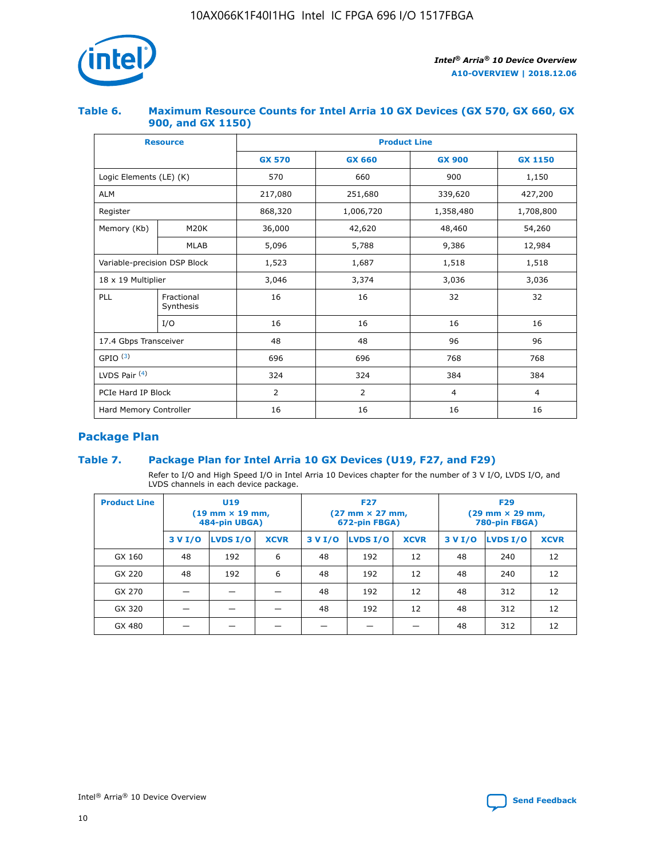

## **Table 6. Maximum Resource Counts for Intel Arria 10 GX Devices (GX 570, GX 660, GX 900, and GX 1150)**

|                              | <b>Resource</b>         | <b>Product Line</b> |                |                  |                |  |  |  |
|------------------------------|-------------------------|---------------------|----------------|------------------|----------------|--|--|--|
|                              |                         | <b>GX 570</b>       | <b>GX 660</b>  | <b>GX 900</b>    | <b>GX 1150</b> |  |  |  |
| Logic Elements (LE) (K)      |                         | 570                 | 660            | 900              | 1,150          |  |  |  |
| <b>ALM</b>                   |                         | 217,080             | 251,680        | 339,620          | 427,200        |  |  |  |
| Register                     |                         | 868,320             | 1,006,720      | 1,358,480        | 1,708,800      |  |  |  |
| Memory (Kb)                  | <b>M20K</b>             | 36,000              | 42,620         | 48,460<br>54,260 |                |  |  |  |
|                              | <b>MLAB</b>             | 5,096               | 5,788          | 9,386            | 12,984         |  |  |  |
| Variable-precision DSP Block |                         | 1,523               | 1,687          | 1,518            | 1,518          |  |  |  |
| 18 x 19 Multiplier           |                         | 3,046               | 3,374          | 3,036            | 3,036          |  |  |  |
| PLL                          | Fractional<br>Synthesis | 16                  | 16             | 32               | 32             |  |  |  |
|                              | I/O                     | 16                  | 16             | 16               | 16             |  |  |  |
| 17.4 Gbps Transceiver        |                         | 48                  | 48             | 96               | 96             |  |  |  |
| GPIO <sup>(3)</sup>          |                         | 696                 | 696            | 768              | 768            |  |  |  |
| LVDS Pair $(4)$              |                         | 324                 | 324            | 384              | 384            |  |  |  |
| PCIe Hard IP Block           |                         | 2                   | $\overline{2}$ | $\overline{4}$   | $\overline{4}$ |  |  |  |
| Hard Memory Controller       |                         | 16                  | 16             | 16               | 16             |  |  |  |

# **Package Plan**

# **Table 7. Package Plan for Intel Arria 10 GX Devices (U19, F27, and F29)**

Refer to I/O and High Speed I/O in Intel Arria 10 Devices chapter for the number of 3 V I/O, LVDS I/O, and LVDS channels in each device package.

| <b>Product Line</b> | <b>U19</b><br>$(19 \text{ mm} \times 19 \text{ mm})$<br>484-pin UBGA) |          |             |         | <b>F27</b><br>(27 mm × 27 mm,<br>672-pin FBGA) |             | <b>F29</b><br>(29 mm × 29 mm,<br>780-pin FBGA) |          |             |  |
|---------------------|-----------------------------------------------------------------------|----------|-------------|---------|------------------------------------------------|-------------|------------------------------------------------|----------|-------------|--|
|                     | 3 V I/O                                                               | LVDS I/O | <b>XCVR</b> | 3 V I/O | <b>LVDS I/O</b>                                | <b>XCVR</b> | 3 V I/O                                        | LVDS I/O | <b>XCVR</b> |  |
| GX 160              | 48                                                                    | 192      | 6           | 48      | 192                                            | 12          | 48                                             | 240      | 12          |  |
| GX 220              | 48                                                                    | 192      | 6           | 48      | 192                                            | 12          | 48                                             | 240      | 12          |  |
| GX 270              |                                                                       |          |             | 48      | 192                                            | 12          | 48                                             | 312      | 12          |  |
| GX 320              |                                                                       |          |             | 48      | 192                                            | 12          | 48                                             | 312      | 12          |  |
| GX 480              |                                                                       |          |             |         |                                                |             | 48                                             | 312      | 12          |  |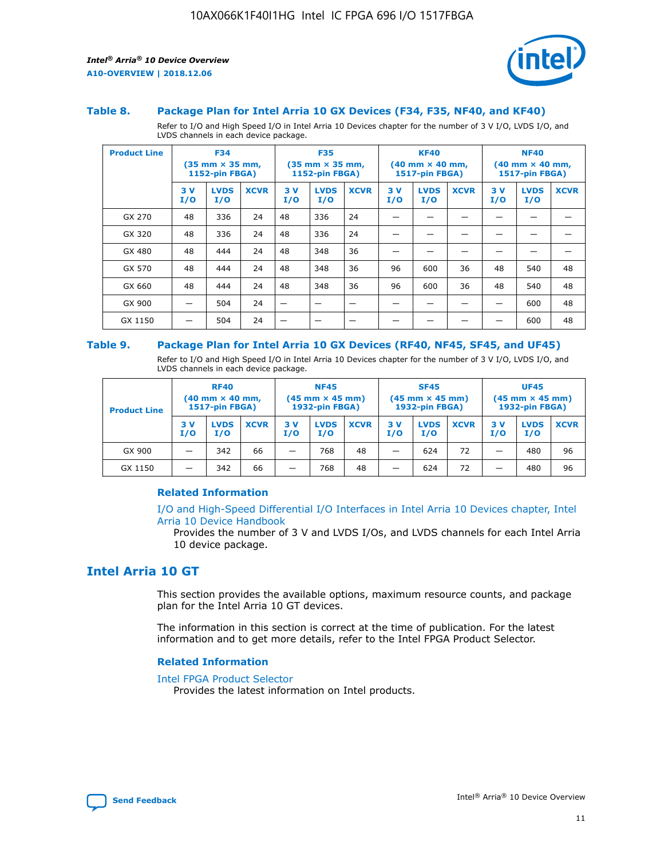

#### **Table 8. Package Plan for Intel Arria 10 GX Devices (F34, F35, NF40, and KF40)**

Refer to I/O and High Speed I/O in Intel Arria 10 Devices chapter for the number of 3 V I/O, LVDS I/O, and LVDS channels in each device package.

| <b>Product Line</b> | <b>F34</b><br>$(35 \text{ mm} \times 35 \text{ mm})$<br>1152-pin FBGA) |                    | <b>F35</b><br>$(35$ mm $\times$ 35 mm,<br><b>1152-pin FBGA)</b> |           | <b>KF40</b><br>$(40$ mm $\times$ 40 mm,<br>1517-pin FBGA) |             |           | <b>NF40</b><br>$(40 \text{ mm} \times 40 \text{ mm})$<br><b>1517-pin FBGA)</b> |             |            |                    |             |
|---------------------|------------------------------------------------------------------------|--------------------|-----------------------------------------------------------------|-----------|-----------------------------------------------------------|-------------|-----------|--------------------------------------------------------------------------------|-------------|------------|--------------------|-------------|
|                     | 3V<br>I/O                                                              | <b>LVDS</b><br>I/O | <b>XCVR</b>                                                     | 3V<br>I/O | <b>LVDS</b><br>I/O                                        | <b>XCVR</b> | 3V<br>I/O | <b>LVDS</b><br>I/O                                                             | <b>XCVR</b> | 3 V<br>I/O | <b>LVDS</b><br>I/O | <b>XCVR</b> |
| GX 270              | 48                                                                     | 336                | 24                                                              | 48        | 336                                                       | 24          |           |                                                                                |             |            |                    |             |
| GX 320              | 48                                                                     | 336                | 24                                                              | 48        | 336                                                       | 24          |           |                                                                                |             |            |                    |             |
| GX 480              | 48                                                                     | 444                | 24                                                              | 48        | 348                                                       | 36          |           |                                                                                |             |            |                    |             |
| GX 570              | 48                                                                     | 444                | 24                                                              | 48        | 348                                                       | 36          | 96        | 600                                                                            | 36          | 48         | 540                | 48          |
| GX 660              | 48                                                                     | 444                | 24                                                              | 48        | 348                                                       | 36          | 96        | 600                                                                            | 36          | 48         | 540                | 48          |
| GX 900              |                                                                        | 504                | 24                                                              | –         |                                                           |             |           |                                                                                |             |            | 600                | 48          |
| GX 1150             |                                                                        | 504                | 24                                                              |           |                                                           |             |           |                                                                                |             |            | 600                | 48          |

#### **Table 9. Package Plan for Intel Arria 10 GX Devices (RF40, NF45, SF45, and UF45)**

Refer to I/O and High Speed I/O in Intel Arria 10 Devices chapter for the number of 3 V I/O, LVDS I/O, and LVDS channels in each device package.

| <b>Product Line</b> | <b>RF40</b><br>$(40 \text{ mm} \times 40 \text{ mm})$<br>1517-pin FBGA) |                    |             | <b>NF45</b><br>$(45 \text{ mm} \times 45 \text{ mm})$<br><b>1932-pin FBGA)</b> |                    |             | <b>SF45</b><br>$(45 \text{ mm} \times 45 \text{ mm})$<br><b>1932-pin FBGA)</b> |                    |             | <b>UF45</b><br>$(45 \text{ mm} \times 45 \text{ mm})$<br>1932-pin FBGA) |                    |             |
|---------------------|-------------------------------------------------------------------------|--------------------|-------------|--------------------------------------------------------------------------------|--------------------|-------------|--------------------------------------------------------------------------------|--------------------|-------------|-------------------------------------------------------------------------|--------------------|-------------|
|                     | 3 V<br>I/O                                                              | <b>LVDS</b><br>I/O | <b>XCVR</b> | 3 V<br>I/O                                                                     | <b>LVDS</b><br>I/O | <b>XCVR</b> | 3 V<br>I/O                                                                     | <b>LVDS</b><br>I/O | <b>XCVR</b> | 3V<br>I/O                                                               | <b>LVDS</b><br>I/O | <b>XCVR</b> |
| GX 900              | _                                                                       | 342                | 66          | -                                                                              | 768                | 48          | -                                                                              | 624                | 72          | _                                                                       | 480                | 96          |
| GX 1150             |                                                                         | 342                | 66          | -                                                                              | 768                | 48          |                                                                                | 624                | 72          |                                                                         | 480                | 96          |

## **Related Information**

[I/O and High-Speed Differential I/O Interfaces in Intel Arria 10 Devices chapter, Intel](https://www.intel.com/content/www/us/en/programmable/documentation/sam1403482614086.html#sam1403482030321) [Arria 10 Device Handbook](https://www.intel.com/content/www/us/en/programmable/documentation/sam1403482614086.html#sam1403482030321)

Provides the number of 3 V and LVDS I/Os, and LVDS channels for each Intel Arria 10 device package.

# **Intel Arria 10 GT**

This section provides the available options, maximum resource counts, and package plan for the Intel Arria 10 GT devices.

The information in this section is correct at the time of publication. For the latest information and to get more details, refer to the Intel FPGA Product Selector.

#### **Related Information**

#### [Intel FPGA Product Selector](http://www.altera.com/products/selector/psg-selector.html)

Provides the latest information on Intel products.

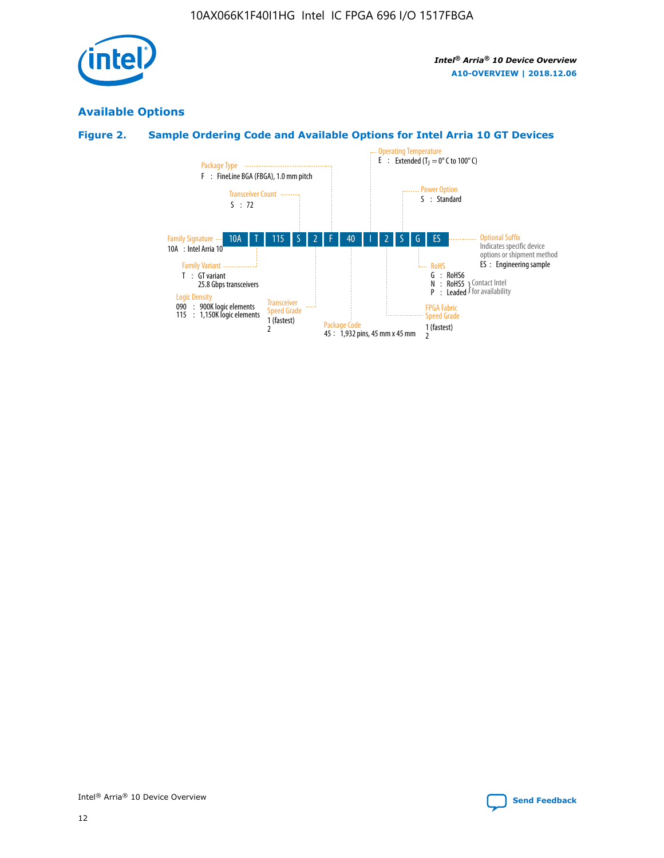

# **Available Options**

# **Figure 2. Sample Ordering Code and Available Options for Intel Arria 10 GT Devices**

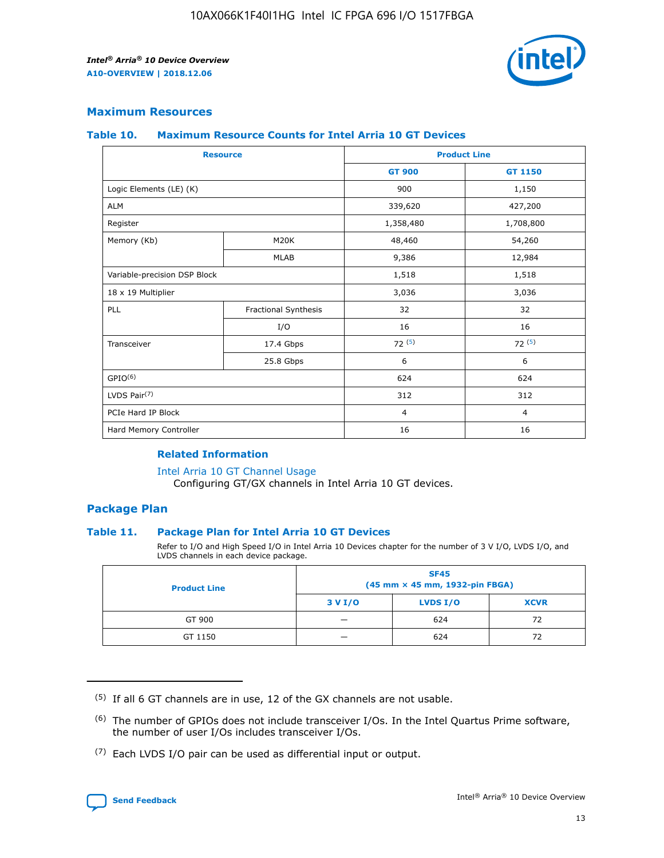

## **Maximum Resources**

#### **Table 10. Maximum Resource Counts for Intel Arria 10 GT Devices**

| <b>Resource</b>              |                      | <b>Product Line</b> |                |  |
|------------------------------|----------------------|---------------------|----------------|--|
|                              |                      | <b>GT 900</b>       | GT 1150        |  |
| Logic Elements (LE) (K)      |                      | 900                 | 1,150          |  |
| <b>ALM</b>                   |                      | 339,620             | 427,200        |  |
| Register                     |                      | 1,358,480           | 1,708,800      |  |
| Memory (Kb)                  | M <sub>20</sub> K    | 48,460              | 54,260         |  |
|                              | <b>MLAB</b>          | 9,386               | 12,984         |  |
| Variable-precision DSP Block |                      | 1,518               | 1,518          |  |
| 18 x 19 Multiplier           |                      | 3,036               | 3,036          |  |
| PLL                          | Fractional Synthesis | 32                  | 32             |  |
|                              | I/O                  | 16                  | 16             |  |
| Transceiver                  | 17.4 Gbps            | 72(5)               | 72(5)          |  |
|                              | 25.8 Gbps            | 6                   | 6              |  |
| GPIO <sup>(6)</sup>          |                      | 624                 | 624            |  |
| LVDS Pair $(7)$              |                      | 312                 | 312            |  |
| PCIe Hard IP Block           |                      | $\overline{4}$      | $\overline{4}$ |  |
| Hard Memory Controller       |                      | 16                  | 16             |  |

#### **Related Information**

#### [Intel Arria 10 GT Channel Usage](https://www.intel.com/content/www/us/en/programmable/documentation/nik1398707230472.html#nik1398707008178)

Configuring GT/GX channels in Intel Arria 10 GT devices.

## **Package Plan**

## **Table 11. Package Plan for Intel Arria 10 GT Devices**

Refer to I/O and High Speed I/O in Intel Arria 10 Devices chapter for the number of 3 V I/O, LVDS I/O, and LVDS channels in each device package.

| <b>Product Line</b> | <b>SF45</b><br>(45 mm × 45 mm, 1932-pin FBGA) |                 |             |  |  |  |
|---------------------|-----------------------------------------------|-----------------|-------------|--|--|--|
|                     | 3 V I/O                                       | <b>LVDS I/O</b> | <b>XCVR</b> |  |  |  |
| GT 900              |                                               | 624             | 72          |  |  |  |
| GT 1150             |                                               | 624             | 72          |  |  |  |

<sup>(7)</sup> Each LVDS I/O pair can be used as differential input or output.



 $(5)$  If all 6 GT channels are in use, 12 of the GX channels are not usable.

<sup>(6)</sup> The number of GPIOs does not include transceiver I/Os. In the Intel Quartus Prime software, the number of user I/Os includes transceiver I/Os.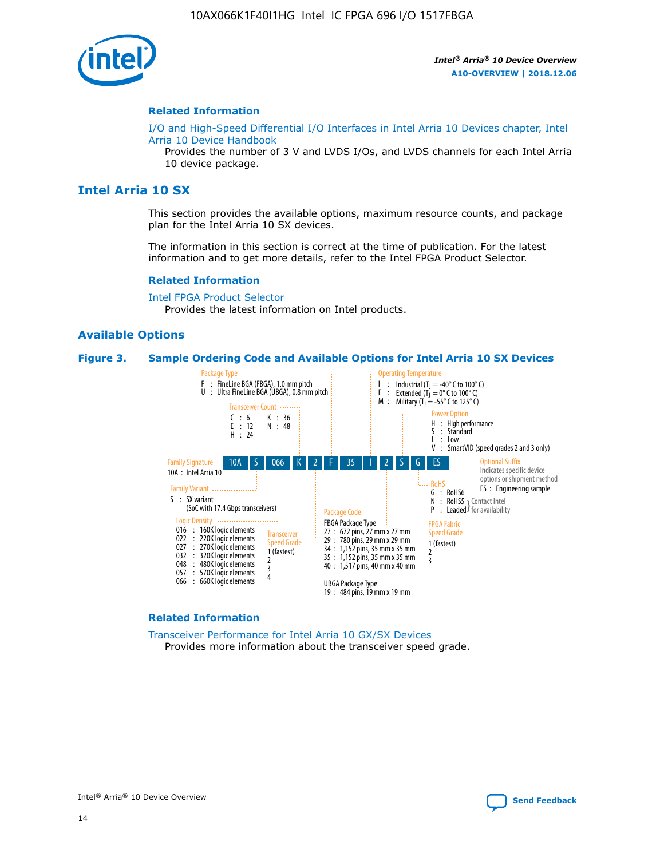

## **Related Information**

[I/O and High-Speed Differential I/O Interfaces in Intel Arria 10 Devices chapter, Intel](https://www.intel.com/content/www/us/en/programmable/documentation/sam1403482614086.html#sam1403482030321) [Arria 10 Device Handbook](https://www.intel.com/content/www/us/en/programmable/documentation/sam1403482614086.html#sam1403482030321)

Provides the number of 3 V and LVDS I/Os, and LVDS channels for each Intel Arria 10 device package.

# **Intel Arria 10 SX**

This section provides the available options, maximum resource counts, and package plan for the Intel Arria 10 SX devices.

The information in this section is correct at the time of publication. For the latest information and to get more details, refer to the Intel FPGA Product Selector.

#### **Related Information**

[Intel FPGA Product Selector](http://www.altera.com/products/selector/psg-selector.html) Provides the latest information on Intel products.

## **Available Options**

#### **Figure 3. Sample Ordering Code and Available Options for Intel Arria 10 SX Devices**



#### **Related Information**

[Transceiver Performance for Intel Arria 10 GX/SX Devices](https://www.intel.com/content/www/us/en/programmable/documentation/mcn1413182292568.html#mcn1413213965502) Provides more information about the transceiver speed grade.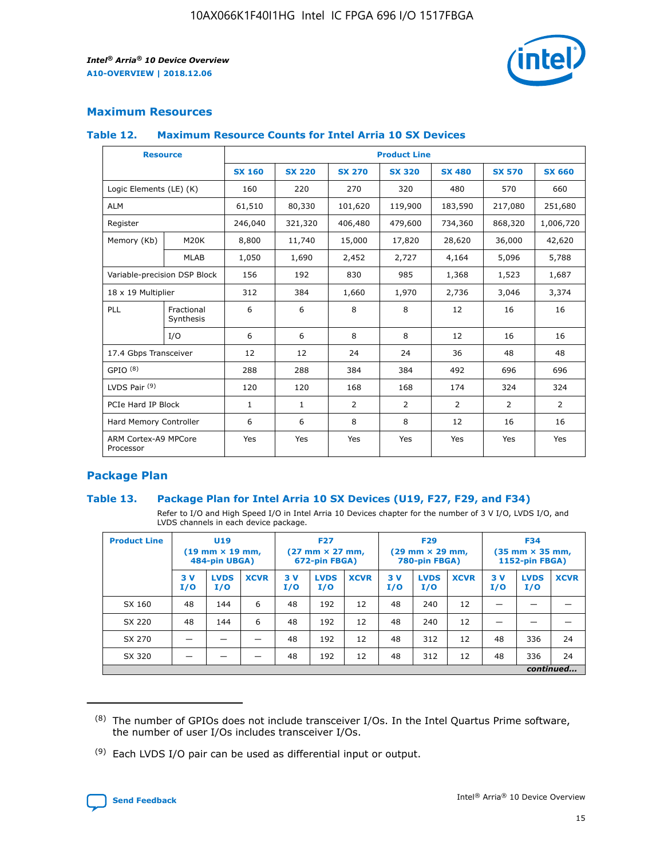

# **Maximum Resources**

## **Table 12. Maximum Resource Counts for Intel Arria 10 SX Devices**

| <b>Resource</b>                   |                         | <b>Product Line</b> |               |                |                |                |                |                |  |  |  |
|-----------------------------------|-------------------------|---------------------|---------------|----------------|----------------|----------------|----------------|----------------|--|--|--|
|                                   |                         | <b>SX 160</b>       | <b>SX 220</b> | <b>SX 270</b>  | <b>SX 320</b>  | <b>SX 480</b>  | <b>SX 570</b>  | <b>SX 660</b>  |  |  |  |
| Logic Elements (LE) (K)           |                         | 160                 | 220           | 270            | 320            | 480            | 570            | 660            |  |  |  |
| <b>ALM</b>                        |                         | 61,510              | 80,330        | 101,620        | 119,900        | 183,590        | 217,080        | 251,680        |  |  |  |
| Register                          |                         | 246,040             | 321,320       | 406,480        | 479,600        | 734,360        | 868,320        | 1,006,720      |  |  |  |
| Memory (Kb)                       | M <sub>20</sub> K       | 8,800               | 11,740        | 15,000         | 17,820         | 28,620         | 36,000         | 42,620         |  |  |  |
|                                   | <b>MLAB</b>             | 1,050               | 1,690         | 2,452          | 2,727          | 4,164          | 5,096          | 5,788          |  |  |  |
| Variable-precision DSP Block      |                         | 156                 | 192           | 830            | 985            | 1,368          | 1,523          | 1,687          |  |  |  |
| 18 x 19 Multiplier                |                         | 312                 | 384           | 1,660          | 1,970          | 2,736          | 3,046          | 3,374          |  |  |  |
| PLL                               | Fractional<br>Synthesis | 6                   | 6             | 8              | 8              | 12             | 16             | 16             |  |  |  |
|                                   | I/O                     | 6                   | 6             | 8              | 8              | 12             | 16             | 16             |  |  |  |
| 17.4 Gbps Transceiver             |                         | 12                  | 12            | 24             | 24             | 36             | 48             | 48             |  |  |  |
| GPIO <sup>(8)</sup>               |                         | 288                 | 288           | 384            | 384            | 492            | 696            | 696            |  |  |  |
| LVDS Pair $(9)$                   |                         | 120                 | 120           | 168            | 168            | 174            | 324            | 324            |  |  |  |
| PCIe Hard IP Block                |                         | $\mathbf{1}$        | $\mathbf{1}$  | $\overline{2}$ | $\overline{2}$ | $\overline{2}$ | $\overline{2}$ | $\overline{2}$ |  |  |  |
| Hard Memory Controller            |                         | 6                   | 6             | 8              | 8              | 12             | 16             | 16             |  |  |  |
| ARM Cortex-A9 MPCore<br>Processor |                         | Yes                 | Yes           | Yes            | Yes            | Yes            | Yes            | <b>Yes</b>     |  |  |  |

# **Package Plan**

## **Table 13. Package Plan for Intel Arria 10 SX Devices (U19, F27, F29, and F34)**

Refer to I/O and High Speed I/O in Intel Arria 10 Devices chapter for the number of 3 V I/O, LVDS I/O, and LVDS channels in each device package.

| <b>Product Line</b> | U19<br>$(19 \text{ mm} \times 19 \text{ mm})$<br>484-pin UBGA) |                    | <b>F27</b><br>$(27 \text{ mm} \times 27 \text{ mm})$<br>672-pin FBGA) |           | <b>F29</b><br>$(29 \text{ mm} \times 29 \text{ mm})$<br>780-pin FBGA) |             |            | <b>F34</b><br>$(35 \text{ mm} \times 35 \text{ mm})$<br><b>1152-pin FBGA)</b> |             |           |                    |             |
|---------------------|----------------------------------------------------------------|--------------------|-----------------------------------------------------------------------|-----------|-----------------------------------------------------------------------|-------------|------------|-------------------------------------------------------------------------------|-------------|-----------|--------------------|-------------|
|                     | 3V<br>I/O                                                      | <b>LVDS</b><br>I/O | <b>XCVR</b>                                                           | 3V<br>I/O | <b>LVDS</b><br>I/O                                                    | <b>XCVR</b> | 3 V<br>I/O | <b>LVDS</b><br>I/O                                                            | <b>XCVR</b> | 3V<br>I/O | <b>LVDS</b><br>I/O | <b>XCVR</b> |
| SX 160              | 48                                                             | 144                | 6                                                                     | 48        | 192                                                                   | 12          | 48         | 240                                                                           | 12          | –         |                    |             |
| SX 220              | 48                                                             | 144                | 6                                                                     | 48        | 192                                                                   | 12          | 48         | 240                                                                           | 12          |           |                    |             |
| SX 270              |                                                                |                    |                                                                       | 48        | 192                                                                   | 12          | 48         | 312                                                                           | 12          | 48        | 336                | 24          |
| SX 320              |                                                                |                    |                                                                       | 48        | 192                                                                   | 12          | 48         | 312                                                                           | 12          | 48        | 336                | 24          |
|                     | continued                                                      |                    |                                                                       |           |                                                                       |             |            |                                                                               |             |           |                    |             |

 $(8)$  The number of GPIOs does not include transceiver I/Os. In the Intel Quartus Prime software, the number of user I/Os includes transceiver I/Os.

 $(9)$  Each LVDS I/O pair can be used as differential input or output.

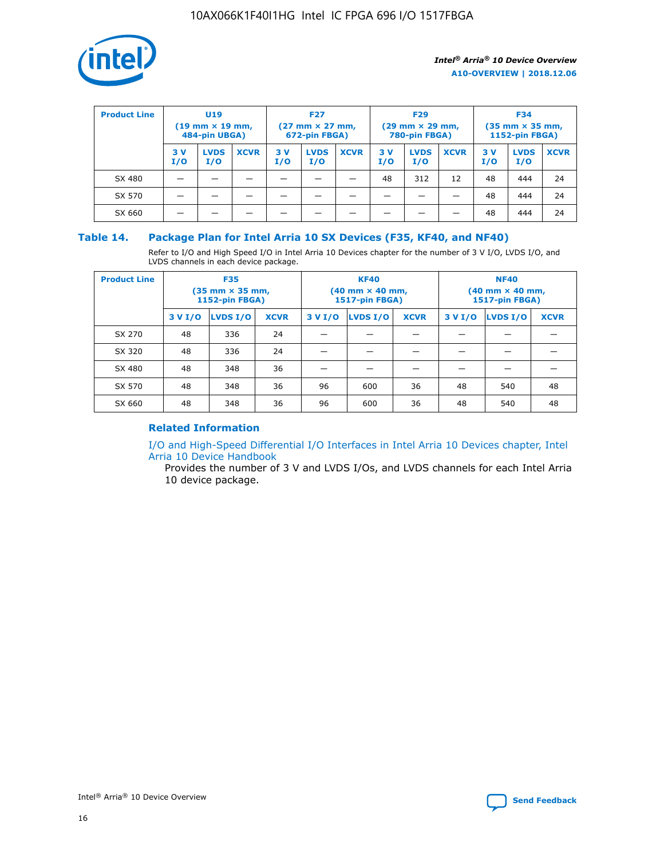

| <b>Product Line</b> | U <sub>19</sub><br>$(19 \text{ mm} \times 19 \text{ mm})$<br>484-pin UBGA) |                    | <b>F27</b><br>$(27 \text{ mm} \times 27 \text{ mm})$<br>672-pin FBGA) |           |                    | <b>F29</b><br>$(29 \text{ mm} \times 29 \text{ mm})$<br>780-pin FBGA) |           |                    | <b>F34</b><br>$(35$ mm $\times$ 35 mm,<br><b>1152-pin FBGA)</b> |           |                    |             |
|---------------------|----------------------------------------------------------------------------|--------------------|-----------------------------------------------------------------------|-----------|--------------------|-----------------------------------------------------------------------|-----------|--------------------|-----------------------------------------------------------------|-----------|--------------------|-------------|
|                     | 3V<br>I/O                                                                  | <b>LVDS</b><br>I/O | <b>XCVR</b>                                                           | 3V<br>I/O | <b>LVDS</b><br>I/O | <b>XCVR</b>                                                           | 3V<br>I/O | <b>LVDS</b><br>I/O | <b>XCVR</b>                                                     | 3V<br>I/O | <b>LVDS</b><br>I/O | <b>XCVR</b> |
| SX 480              |                                                                            |                    |                                                                       |           |                    |                                                                       | 48        | 312                | 12                                                              | 48        | 444                | 24          |
| SX 570              |                                                                            |                    |                                                                       |           |                    |                                                                       |           |                    |                                                                 | 48        | 444                | 24          |
| SX 660              |                                                                            |                    |                                                                       |           |                    |                                                                       |           |                    |                                                                 | 48        | 444                | 24          |

## **Table 14. Package Plan for Intel Arria 10 SX Devices (F35, KF40, and NF40)**

Refer to I/O and High Speed I/O in Intel Arria 10 Devices chapter for the number of 3 V I/O, LVDS I/O, and LVDS channels in each device package.

| <b>Product Line</b> | <b>F35</b><br>$(35 \text{ mm} \times 35 \text{ mm})$<br><b>1152-pin FBGA)</b> |          |             |                                           | <b>KF40</b><br>(40 mm × 40 mm,<br>1517-pin FBGA) |    | <b>NF40</b><br>$(40 \text{ mm} \times 40 \text{ mm})$<br>1517-pin FBGA) |          |             |  |
|---------------------|-------------------------------------------------------------------------------|----------|-------------|-------------------------------------------|--------------------------------------------------|----|-------------------------------------------------------------------------|----------|-------------|--|
|                     | 3 V I/O                                                                       | LVDS I/O | <b>XCVR</b> | <b>LVDS I/O</b><br><b>XCVR</b><br>3 V I/O |                                                  |    | 3 V I/O                                                                 | LVDS I/O | <b>XCVR</b> |  |
| SX 270              | 48                                                                            | 336      | 24          |                                           |                                                  |    |                                                                         |          |             |  |
| SX 320              | 48                                                                            | 336      | 24          |                                           |                                                  |    |                                                                         |          |             |  |
| SX 480              | 48                                                                            | 348      | 36          |                                           |                                                  |    |                                                                         |          |             |  |
| SX 570              | 48                                                                            | 348      | 36          | 96                                        | 600                                              | 36 | 48                                                                      | 540      | 48          |  |
| SX 660              | 48                                                                            | 348      | 36          | 96                                        | 600                                              | 36 | 48                                                                      | 540      | 48          |  |

# **Related Information**

[I/O and High-Speed Differential I/O Interfaces in Intel Arria 10 Devices chapter, Intel](https://www.intel.com/content/www/us/en/programmable/documentation/sam1403482614086.html#sam1403482030321) [Arria 10 Device Handbook](https://www.intel.com/content/www/us/en/programmable/documentation/sam1403482614086.html#sam1403482030321)

Provides the number of 3 V and LVDS I/Os, and LVDS channels for each Intel Arria 10 device package.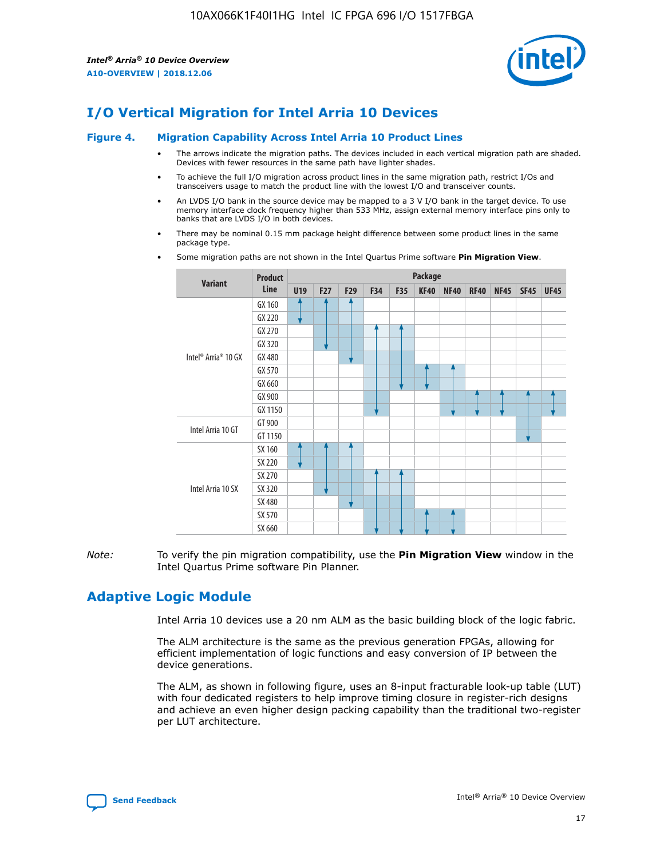

# **I/O Vertical Migration for Intel Arria 10 Devices**

#### **Figure 4. Migration Capability Across Intel Arria 10 Product Lines**

- The arrows indicate the migration paths. The devices included in each vertical migration path are shaded. Devices with fewer resources in the same path have lighter shades.
- To achieve the full I/O migration across product lines in the same migration path, restrict I/Os and transceivers usage to match the product line with the lowest I/O and transceiver counts.
- An LVDS I/O bank in the source device may be mapped to a 3 V I/O bank in the target device. To use memory interface clock frequency higher than 533 MHz, assign external memory interface pins only to banks that are LVDS I/O in both devices.
- There may be nominal 0.15 mm package height difference between some product lines in the same package type.
	- **Variant Product Line Package U19 F27 F29 F34 F35 KF40 NF40 RF40 NF45 SF45 UF45** Intel® Arria® 10 GX GX 160 GX 220 GX 270 GX 320 GX 480 GX 570 GX 660 GX 900 GX 1150 Intel Arria 10 GT GT 900 GT 1150 Intel Arria 10 SX SX 160 SX 220 SX 270 SX 320 SX 480 SX 570 SX 660
- Some migration paths are not shown in the Intel Quartus Prime software **Pin Migration View**.

*Note:* To verify the pin migration compatibility, use the **Pin Migration View** window in the Intel Quartus Prime software Pin Planner.

# **Adaptive Logic Module**

Intel Arria 10 devices use a 20 nm ALM as the basic building block of the logic fabric.

The ALM architecture is the same as the previous generation FPGAs, allowing for efficient implementation of logic functions and easy conversion of IP between the device generations.

The ALM, as shown in following figure, uses an 8-input fracturable look-up table (LUT) with four dedicated registers to help improve timing closure in register-rich designs and achieve an even higher design packing capability than the traditional two-register per LUT architecture.

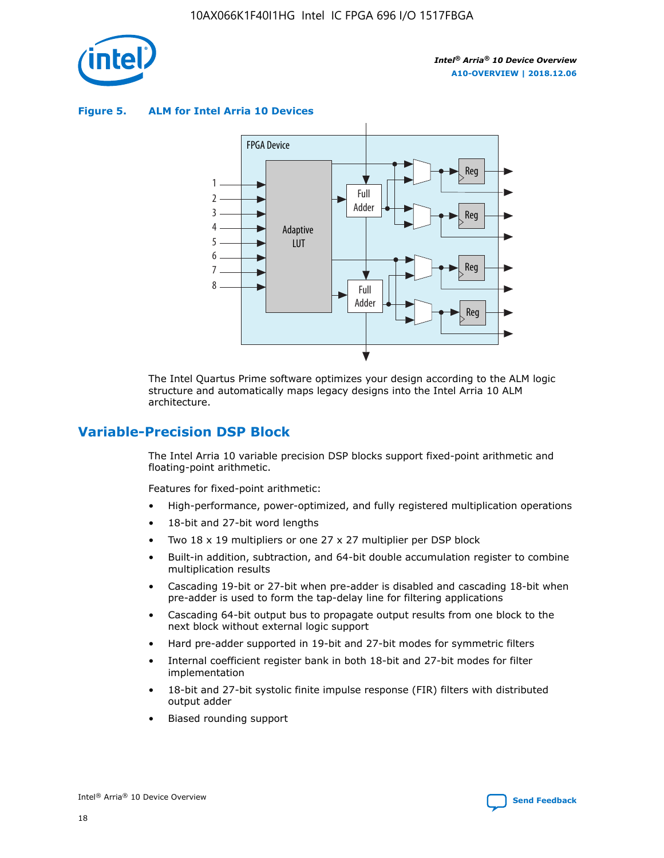

**Figure 5. ALM for Intel Arria 10 Devices**



The Intel Quartus Prime software optimizes your design according to the ALM logic structure and automatically maps legacy designs into the Intel Arria 10 ALM architecture.

# **Variable-Precision DSP Block**

The Intel Arria 10 variable precision DSP blocks support fixed-point arithmetic and floating-point arithmetic.

Features for fixed-point arithmetic:

- High-performance, power-optimized, and fully registered multiplication operations
- 18-bit and 27-bit word lengths
- Two 18 x 19 multipliers or one 27 x 27 multiplier per DSP block
- Built-in addition, subtraction, and 64-bit double accumulation register to combine multiplication results
- Cascading 19-bit or 27-bit when pre-adder is disabled and cascading 18-bit when pre-adder is used to form the tap-delay line for filtering applications
- Cascading 64-bit output bus to propagate output results from one block to the next block without external logic support
- Hard pre-adder supported in 19-bit and 27-bit modes for symmetric filters
- Internal coefficient register bank in both 18-bit and 27-bit modes for filter implementation
- 18-bit and 27-bit systolic finite impulse response (FIR) filters with distributed output adder
- Biased rounding support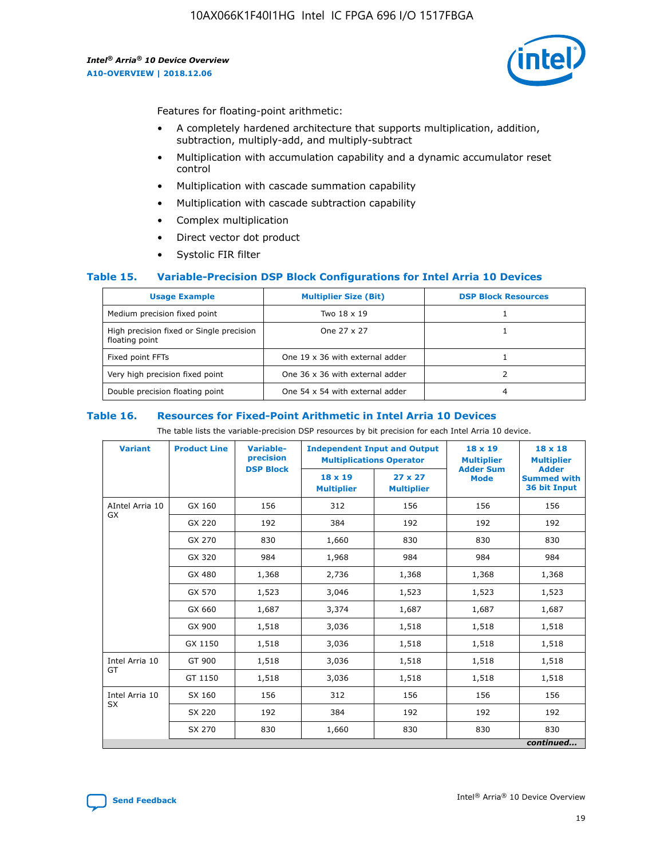

Features for floating-point arithmetic:

- A completely hardened architecture that supports multiplication, addition, subtraction, multiply-add, and multiply-subtract
- Multiplication with accumulation capability and a dynamic accumulator reset control
- Multiplication with cascade summation capability
- Multiplication with cascade subtraction capability
- Complex multiplication
- Direct vector dot product
- Systolic FIR filter

## **Table 15. Variable-Precision DSP Block Configurations for Intel Arria 10 Devices**

| <b>Usage Example</b>                                       | <b>Multiplier Size (Bit)</b>    | <b>DSP Block Resources</b> |
|------------------------------------------------------------|---------------------------------|----------------------------|
| Medium precision fixed point                               | Two 18 x 19                     |                            |
| High precision fixed or Single precision<br>floating point | One 27 x 27                     |                            |
| Fixed point FFTs                                           | One 19 x 36 with external adder |                            |
| Very high precision fixed point                            | One 36 x 36 with external adder |                            |
| Double precision floating point                            | One 54 x 54 with external adder | 4                          |

#### **Table 16. Resources for Fixed-Point Arithmetic in Intel Arria 10 Devices**

The table lists the variable-precision DSP resources by bit precision for each Intel Arria 10 device.

| <b>Variant</b>  | <b>Product Line</b> | <b>Variable-</b><br>precision<br><b>DSP Block</b> | <b>Independent Input and Output</b><br><b>Multiplications Operator</b> |                                     | 18 x 19<br><b>Multiplier</b><br><b>Adder Sum</b> | $18 \times 18$<br><b>Multiplier</b><br><b>Adder</b> |
|-----------------|---------------------|---------------------------------------------------|------------------------------------------------------------------------|-------------------------------------|--------------------------------------------------|-----------------------------------------------------|
|                 |                     |                                                   | 18 x 19<br><b>Multiplier</b>                                           | $27 \times 27$<br><b>Multiplier</b> | <b>Mode</b>                                      | <b>Summed with</b><br>36 bit Input                  |
| AIntel Arria 10 | GX 160              | 156                                               | 312                                                                    | 156                                 | 156                                              | 156                                                 |
| GX              | GX 220              | 192                                               | 384                                                                    | 192                                 | 192                                              | 192                                                 |
|                 | GX 270              | 830                                               | 1,660                                                                  | 830                                 | 830                                              | 830                                                 |
|                 | GX 320              | 984                                               | 1,968                                                                  | 984                                 | 984                                              | 984                                                 |
|                 | GX 480              | 1,368                                             | 2,736                                                                  | 1,368                               | 1,368                                            | 1,368                                               |
|                 | GX 570              | 1,523                                             | 3,046                                                                  | 1,523                               | 1,523                                            | 1,523                                               |
|                 | GX 660              | 1,687                                             | 3,374                                                                  | 1,687                               | 1,687                                            | 1,687                                               |
|                 | GX 900              | 1,518                                             | 3,036                                                                  | 1,518                               | 1,518                                            | 1,518                                               |
|                 | GX 1150             | 1,518                                             | 3,036                                                                  | 1,518                               | 1,518                                            | 1,518                                               |
| Intel Arria 10  | GT 900              | 1,518                                             | 3,036                                                                  | 1,518                               | 1,518                                            | 1,518                                               |
| GT              | GT 1150             | 1,518                                             | 3,036                                                                  | 1,518                               | 1,518                                            | 1,518                                               |
| Intel Arria 10  | SX 160              | 156                                               | 312                                                                    | 156                                 | 156                                              | 156                                                 |
| <b>SX</b>       | SX 220              | 192                                               | 384                                                                    | 192                                 | 192                                              | 192                                                 |
|                 | SX 270              | 830                                               | 1,660                                                                  | 830                                 | 830                                              | 830                                                 |
|                 |                     |                                                   |                                                                        |                                     |                                                  | continued                                           |

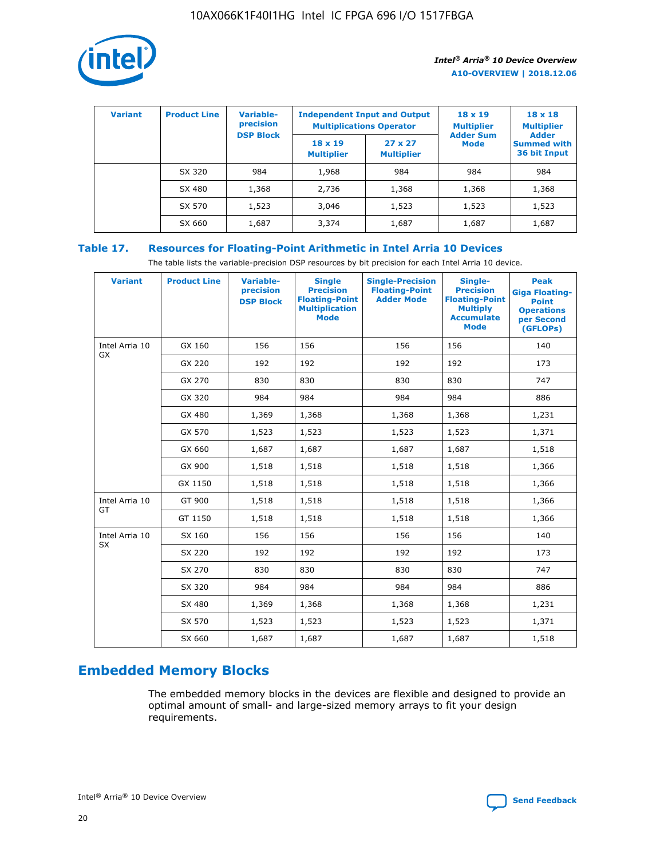

| <b>Variant</b> | <b>Product Line</b> | <b>Variable-</b><br>precision<br><b>DSP Block</b> | <b>Independent Input and Output</b><br><b>Multiplications Operator</b> |                                     | $18 \times 19$<br><b>Multiplier</b><br><b>Adder Sum</b> | $18 \times 18$<br><b>Multiplier</b><br><b>Adder</b> |  |
|----------------|---------------------|---------------------------------------------------|------------------------------------------------------------------------|-------------------------------------|---------------------------------------------------------|-----------------------------------------------------|--|
|                |                     |                                                   | $18 \times 19$<br><b>Multiplier</b>                                    | $27 \times 27$<br><b>Multiplier</b> | <b>Mode</b>                                             | <b>Summed with</b><br>36 bit Input                  |  |
|                | SX 320              | 984                                               | 1,968                                                                  | 984                                 | 984                                                     | 984                                                 |  |
|                | SX 480              | 1,368                                             | 2,736                                                                  | 1,368                               | 1,368                                                   | 1,368                                               |  |
|                | SX 570              | 1,523                                             | 3,046                                                                  | 1,523                               | 1,523                                                   | 1,523                                               |  |
|                | SX 660              | 1,687                                             | 3,374                                                                  | 1,687                               | 1,687                                                   | 1,687                                               |  |

# **Table 17. Resources for Floating-Point Arithmetic in Intel Arria 10 Devices**

The table lists the variable-precision DSP resources by bit precision for each Intel Arria 10 device.

| <b>Variant</b> | <b>Product Line</b> | <b>Variable-</b><br>precision<br><b>DSP Block</b> | <b>Single</b><br><b>Precision</b><br><b>Floating-Point</b><br><b>Multiplication</b><br><b>Mode</b> | <b>Single-Precision</b><br><b>Floating-Point</b><br><b>Adder Mode</b> | Single-<br><b>Precision</b><br><b>Floating-Point</b><br><b>Multiply</b><br><b>Accumulate</b><br><b>Mode</b> | <b>Peak</b><br><b>Giga Floating-</b><br><b>Point</b><br><b>Operations</b><br>per Second<br>(GFLOPs) |
|----------------|---------------------|---------------------------------------------------|----------------------------------------------------------------------------------------------------|-----------------------------------------------------------------------|-------------------------------------------------------------------------------------------------------------|-----------------------------------------------------------------------------------------------------|
| Intel Arria 10 | GX 160              | 156                                               | 156                                                                                                | 156                                                                   | 156                                                                                                         | 140                                                                                                 |
| GX             | GX 220              | 192                                               | 192                                                                                                | 192                                                                   | 192                                                                                                         | 173                                                                                                 |
|                | GX 270              | 830                                               | 830                                                                                                | 830                                                                   | 830                                                                                                         | 747                                                                                                 |
|                | GX 320              | 984                                               | 984                                                                                                | 984                                                                   | 984                                                                                                         | 886                                                                                                 |
|                | GX 480              | 1,369                                             | 1,368                                                                                              | 1,368                                                                 | 1,368                                                                                                       | 1,231                                                                                               |
|                | GX 570              | 1,523                                             | 1,523                                                                                              | 1,523                                                                 | 1,523                                                                                                       | 1,371                                                                                               |
|                | GX 660              | 1,687                                             | 1,687                                                                                              | 1,687                                                                 | 1,687                                                                                                       | 1,518                                                                                               |
|                | GX 900              | 1,518                                             | 1,518                                                                                              | 1,518                                                                 | 1,518                                                                                                       | 1,366                                                                                               |
|                | GX 1150             | 1,518                                             | 1,518                                                                                              | 1,518                                                                 | 1,518                                                                                                       | 1,366                                                                                               |
| Intel Arria 10 | GT 900              | 1,518                                             | 1,518                                                                                              | 1,518                                                                 | 1,518                                                                                                       | 1,366                                                                                               |
| GT             | GT 1150             | 1,518                                             | 1,518                                                                                              | 1,518                                                                 | 1,518                                                                                                       | 1,366                                                                                               |
| Intel Arria 10 | SX 160              | 156                                               | 156                                                                                                | 156                                                                   | 156                                                                                                         | 140                                                                                                 |
| <b>SX</b>      | SX 220              | 192                                               | 192                                                                                                | 192                                                                   | 192                                                                                                         | 173                                                                                                 |
|                | SX 270              | 830                                               | 830                                                                                                | 830                                                                   | 830                                                                                                         | 747                                                                                                 |
|                | SX 320              | 984                                               | 984                                                                                                | 984                                                                   | 984                                                                                                         | 886                                                                                                 |
|                | SX 480              | 1,369                                             | 1,368                                                                                              | 1,368                                                                 | 1,368                                                                                                       | 1,231                                                                                               |
|                | SX 570              | 1,523                                             | 1,523                                                                                              | 1,523                                                                 | 1,523                                                                                                       | 1,371                                                                                               |
|                | SX 660              | 1,687                                             | 1,687                                                                                              | 1,687                                                                 | 1,687                                                                                                       | 1,518                                                                                               |

# **Embedded Memory Blocks**

The embedded memory blocks in the devices are flexible and designed to provide an optimal amount of small- and large-sized memory arrays to fit your design requirements.

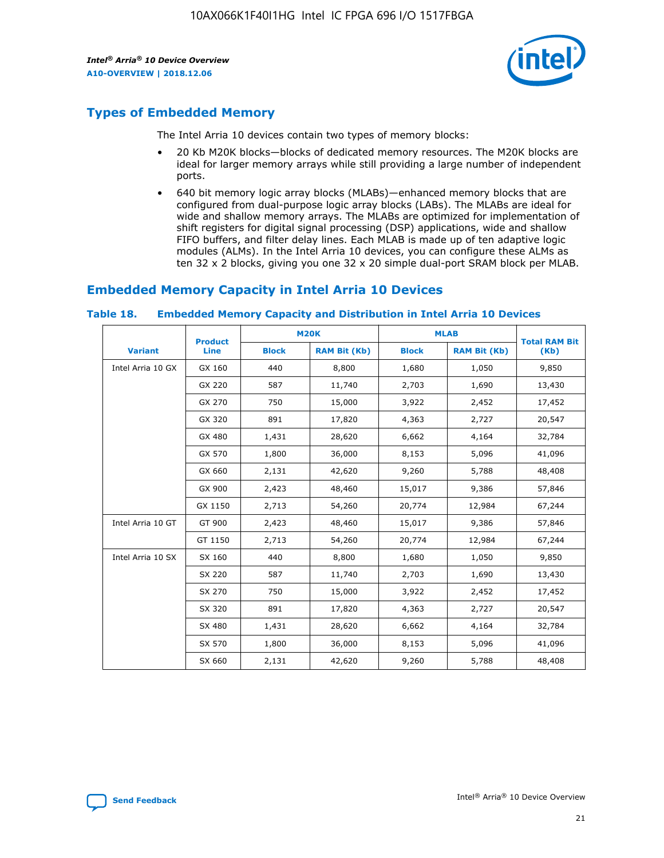

# **Types of Embedded Memory**

The Intel Arria 10 devices contain two types of memory blocks:

- 20 Kb M20K blocks—blocks of dedicated memory resources. The M20K blocks are ideal for larger memory arrays while still providing a large number of independent ports.
- 640 bit memory logic array blocks (MLABs)—enhanced memory blocks that are configured from dual-purpose logic array blocks (LABs). The MLABs are ideal for wide and shallow memory arrays. The MLABs are optimized for implementation of shift registers for digital signal processing (DSP) applications, wide and shallow FIFO buffers, and filter delay lines. Each MLAB is made up of ten adaptive logic modules (ALMs). In the Intel Arria 10 devices, you can configure these ALMs as ten 32 x 2 blocks, giving you one 32 x 20 simple dual-port SRAM block per MLAB.

# **Embedded Memory Capacity in Intel Arria 10 Devices**

|                   | <b>Product</b> | <b>M20K</b>  |                     | <b>MLAB</b>  |                     | <b>Total RAM Bit</b> |
|-------------------|----------------|--------------|---------------------|--------------|---------------------|----------------------|
| <b>Variant</b>    | <b>Line</b>    | <b>Block</b> | <b>RAM Bit (Kb)</b> | <b>Block</b> | <b>RAM Bit (Kb)</b> | (Kb)                 |
| Intel Arria 10 GX | GX 160         | 440          | 8,800               | 1,680        | 1,050               | 9,850                |
|                   | GX 220         | 587          | 11,740              | 2,703        | 1,690               | 13,430               |
|                   | GX 270         | 750          | 15,000              | 3,922        | 2,452               | 17,452               |
|                   | GX 320         | 891          | 17,820              | 4,363        | 2,727               | 20,547               |
|                   | GX 480         | 1,431        | 28,620              | 6,662        | 4,164               | 32,784               |
|                   | GX 570         | 1,800        | 36,000              | 8,153        | 5,096               | 41,096               |
|                   | GX 660         | 2,131        | 42,620              | 9,260        | 5,788               | 48,408               |
|                   | GX 900         | 2,423        | 48,460              | 15,017       | 9,386               | 57,846               |
|                   | GX 1150        | 2,713        | 54,260              | 20,774       | 12,984              | 67,244               |
| Intel Arria 10 GT | GT 900         | 2,423        | 48,460              | 15,017       | 9,386               | 57,846               |
|                   | GT 1150        | 2,713        | 54,260              | 20,774       | 12,984              | 67,244               |
| Intel Arria 10 SX | SX 160         | 440          | 8,800               | 1,680        | 1,050               | 9,850                |
|                   | SX 220         | 587          | 11,740              | 2,703        | 1,690               | 13,430               |
|                   | SX 270         | 750          | 15,000              | 3,922        | 2,452               | 17,452               |
|                   | SX 320         | 891          | 17,820              | 4,363        | 2,727               | 20,547               |
|                   | SX 480         | 1,431        | 28,620              | 6,662        | 4,164               | 32,784               |
|                   | SX 570         | 1,800        | 36,000              | 8,153        | 5,096               | 41,096               |
|                   | SX 660         | 2,131        | 42,620              | 9,260        | 5,788               | 48,408               |

#### **Table 18. Embedded Memory Capacity and Distribution in Intel Arria 10 Devices**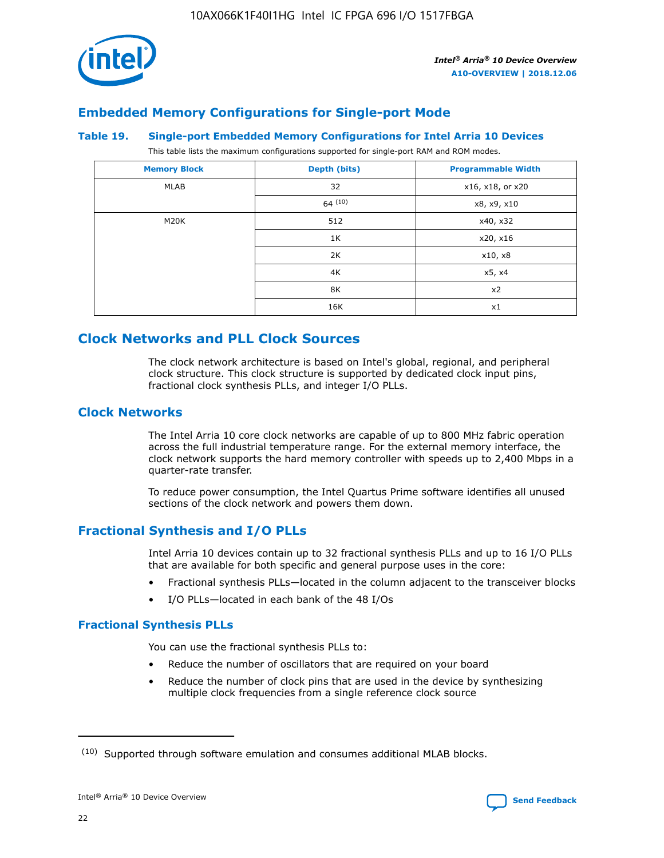

# **Embedded Memory Configurations for Single-port Mode**

## **Table 19. Single-port Embedded Memory Configurations for Intel Arria 10 Devices**

This table lists the maximum configurations supported for single-port RAM and ROM modes.

| <b>Memory Block</b> | Depth (bits) | <b>Programmable Width</b> |
|---------------------|--------------|---------------------------|
| MLAB                | 32           | x16, x18, or x20          |
|                     | 64(10)       | x8, x9, x10               |
| M20K                | 512          | x40, x32                  |
|                     | 1K           | x20, x16                  |
|                     | 2K           | x10, x8                   |
|                     | 4K           | x5, x4                    |
|                     | 8K           | x2                        |
|                     | 16K          | x1                        |

# **Clock Networks and PLL Clock Sources**

The clock network architecture is based on Intel's global, regional, and peripheral clock structure. This clock structure is supported by dedicated clock input pins, fractional clock synthesis PLLs, and integer I/O PLLs.

# **Clock Networks**

The Intel Arria 10 core clock networks are capable of up to 800 MHz fabric operation across the full industrial temperature range. For the external memory interface, the clock network supports the hard memory controller with speeds up to 2,400 Mbps in a quarter-rate transfer.

To reduce power consumption, the Intel Quartus Prime software identifies all unused sections of the clock network and powers them down.

# **Fractional Synthesis and I/O PLLs**

Intel Arria 10 devices contain up to 32 fractional synthesis PLLs and up to 16 I/O PLLs that are available for both specific and general purpose uses in the core:

- Fractional synthesis PLLs—located in the column adjacent to the transceiver blocks
- I/O PLLs—located in each bank of the 48 I/Os

## **Fractional Synthesis PLLs**

You can use the fractional synthesis PLLs to:

- Reduce the number of oscillators that are required on your board
- Reduce the number of clock pins that are used in the device by synthesizing multiple clock frequencies from a single reference clock source

<sup>(10)</sup> Supported through software emulation and consumes additional MLAB blocks.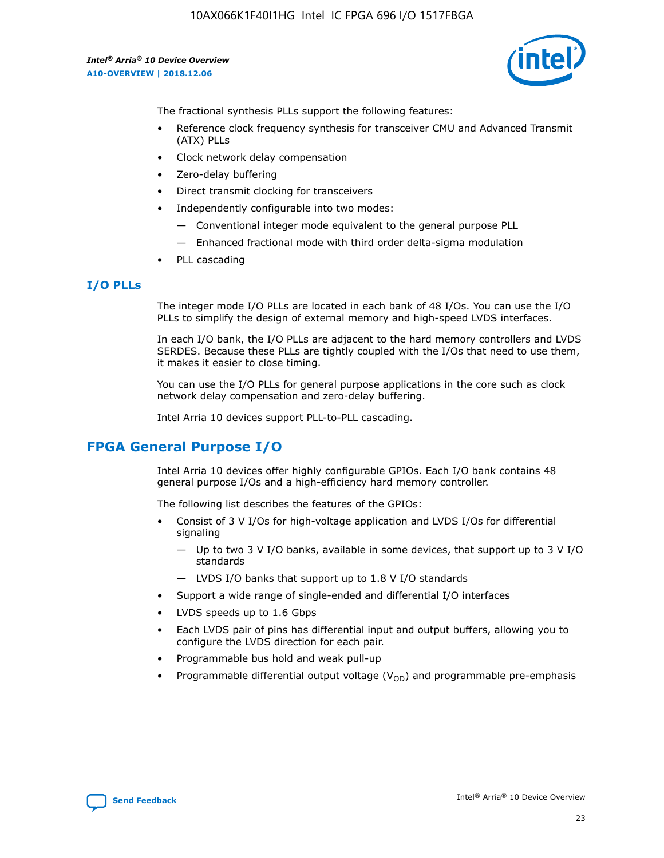

The fractional synthesis PLLs support the following features:

- Reference clock frequency synthesis for transceiver CMU and Advanced Transmit (ATX) PLLs
- Clock network delay compensation
- Zero-delay buffering
- Direct transmit clocking for transceivers
- Independently configurable into two modes:
	- Conventional integer mode equivalent to the general purpose PLL
	- Enhanced fractional mode with third order delta-sigma modulation
- PLL cascading

# **I/O PLLs**

The integer mode I/O PLLs are located in each bank of 48 I/Os. You can use the I/O PLLs to simplify the design of external memory and high-speed LVDS interfaces.

In each I/O bank, the I/O PLLs are adjacent to the hard memory controllers and LVDS SERDES. Because these PLLs are tightly coupled with the I/Os that need to use them, it makes it easier to close timing.

You can use the I/O PLLs for general purpose applications in the core such as clock network delay compensation and zero-delay buffering.

Intel Arria 10 devices support PLL-to-PLL cascading.

# **FPGA General Purpose I/O**

Intel Arria 10 devices offer highly configurable GPIOs. Each I/O bank contains 48 general purpose I/Os and a high-efficiency hard memory controller.

The following list describes the features of the GPIOs:

- Consist of 3 V I/Os for high-voltage application and LVDS I/Os for differential signaling
	- Up to two 3 V I/O banks, available in some devices, that support up to 3 V I/O standards
	- LVDS I/O banks that support up to 1.8 V I/O standards
- Support a wide range of single-ended and differential I/O interfaces
- LVDS speeds up to 1.6 Gbps
- Each LVDS pair of pins has differential input and output buffers, allowing you to configure the LVDS direction for each pair.
- Programmable bus hold and weak pull-up
- Programmable differential output voltage  $(V_{OD})$  and programmable pre-emphasis

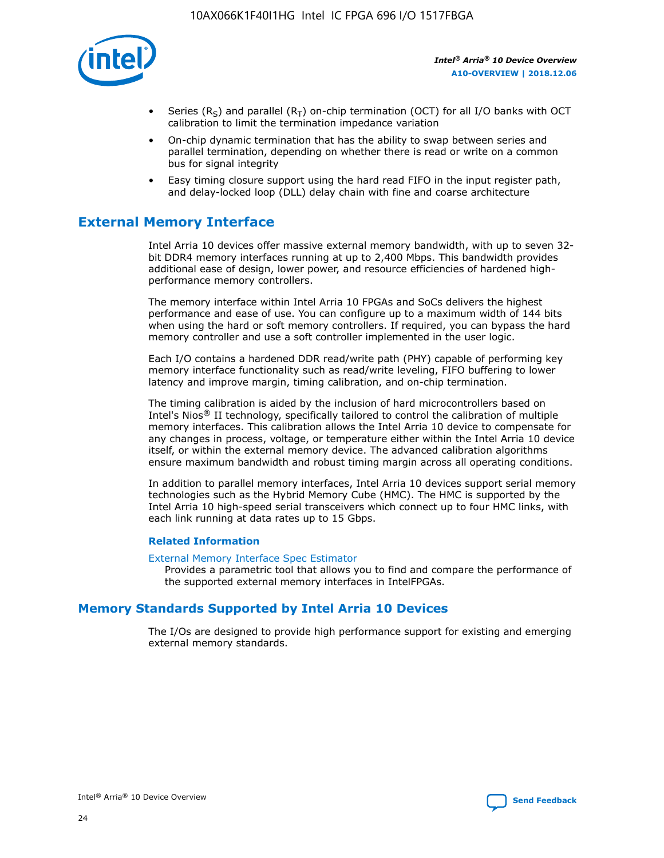

- Series (R<sub>S</sub>) and parallel (R<sub>T</sub>) on-chip termination (OCT) for all I/O banks with OCT calibration to limit the termination impedance variation
- On-chip dynamic termination that has the ability to swap between series and parallel termination, depending on whether there is read or write on a common bus for signal integrity
- Easy timing closure support using the hard read FIFO in the input register path, and delay-locked loop (DLL) delay chain with fine and coarse architecture

# **External Memory Interface**

Intel Arria 10 devices offer massive external memory bandwidth, with up to seven 32 bit DDR4 memory interfaces running at up to 2,400 Mbps. This bandwidth provides additional ease of design, lower power, and resource efficiencies of hardened highperformance memory controllers.

The memory interface within Intel Arria 10 FPGAs and SoCs delivers the highest performance and ease of use. You can configure up to a maximum width of 144 bits when using the hard or soft memory controllers. If required, you can bypass the hard memory controller and use a soft controller implemented in the user logic.

Each I/O contains a hardened DDR read/write path (PHY) capable of performing key memory interface functionality such as read/write leveling, FIFO buffering to lower latency and improve margin, timing calibration, and on-chip termination.

The timing calibration is aided by the inclusion of hard microcontrollers based on Intel's Nios® II technology, specifically tailored to control the calibration of multiple memory interfaces. This calibration allows the Intel Arria 10 device to compensate for any changes in process, voltage, or temperature either within the Intel Arria 10 device itself, or within the external memory device. The advanced calibration algorithms ensure maximum bandwidth and robust timing margin across all operating conditions.

In addition to parallel memory interfaces, Intel Arria 10 devices support serial memory technologies such as the Hybrid Memory Cube (HMC). The HMC is supported by the Intel Arria 10 high-speed serial transceivers which connect up to four HMC links, with each link running at data rates up to 15 Gbps.

## **Related Information**

#### [External Memory Interface Spec Estimator](http://www.altera.com/technology/memory/estimator/mem-emif-index.html)

Provides a parametric tool that allows you to find and compare the performance of the supported external memory interfaces in IntelFPGAs.

# **Memory Standards Supported by Intel Arria 10 Devices**

The I/Os are designed to provide high performance support for existing and emerging external memory standards.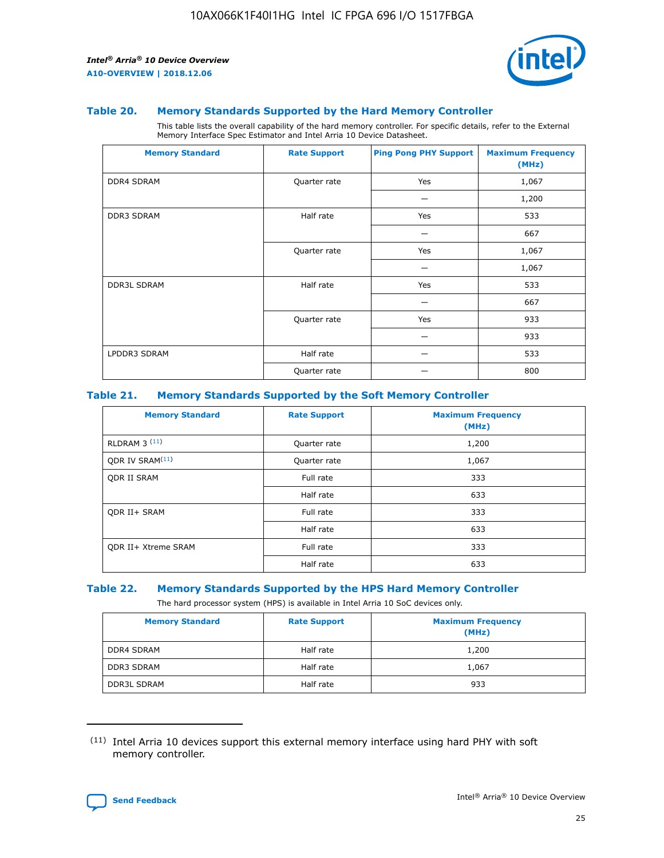

#### **Table 20. Memory Standards Supported by the Hard Memory Controller**

This table lists the overall capability of the hard memory controller. For specific details, refer to the External Memory Interface Spec Estimator and Intel Arria 10 Device Datasheet.

| <b>Memory Standard</b> | <b>Rate Support</b> | <b>Ping Pong PHY Support</b> | <b>Maximum Frequency</b><br>(MHz) |
|------------------------|---------------------|------------------------------|-----------------------------------|
| <b>DDR4 SDRAM</b>      | Quarter rate        | Yes                          | 1,067                             |
|                        |                     |                              | 1,200                             |
| <b>DDR3 SDRAM</b>      | Half rate           | Yes                          | 533                               |
|                        |                     |                              | 667                               |
|                        | Quarter rate        | Yes                          | 1,067                             |
|                        |                     |                              | 1,067                             |
| <b>DDR3L SDRAM</b>     | Half rate           | Yes                          | 533                               |
|                        |                     |                              | 667                               |
|                        | Quarter rate        | Yes                          | 933                               |
|                        |                     |                              | 933                               |
| LPDDR3 SDRAM           | Half rate           |                              | 533                               |
|                        | Quarter rate        |                              | 800                               |

#### **Table 21. Memory Standards Supported by the Soft Memory Controller**

| <b>Memory Standard</b>      | <b>Rate Support</b> | <b>Maximum Frequency</b><br>(MHz) |
|-----------------------------|---------------------|-----------------------------------|
| <b>RLDRAM 3 (11)</b>        | Quarter rate        | 1,200                             |
| ODR IV SRAM <sup>(11)</sup> | Quarter rate        | 1,067                             |
| <b>ODR II SRAM</b>          | Full rate           | 333                               |
|                             | Half rate           | 633                               |
| <b>ODR II+ SRAM</b>         | Full rate           | 333                               |
|                             | Half rate           | 633                               |
| <b>ODR II+ Xtreme SRAM</b>  | Full rate           | 333                               |
|                             | Half rate           | 633                               |

#### **Table 22. Memory Standards Supported by the HPS Hard Memory Controller**

The hard processor system (HPS) is available in Intel Arria 10 SoC devices only.

| <b>Memory Standard</b> | <b>Rate Support</b> | <b>Maximum Frequency</b><br>(MHz) |
|------------------------|---------------------|-----------------------------------|
| <b>DDR4 SDRAM</b>      | Half rate           | 1,200                             |
| <b>DDR3 SDRAM</b>      | Half rate           | 1,067                             |
| <b>DDR3L SDRAM</b>     | Half rate           | 933                               |

<sup>(11)</sup> Intel Arria 10 devices support this external memory interface using hard PHY with soft memory controller.

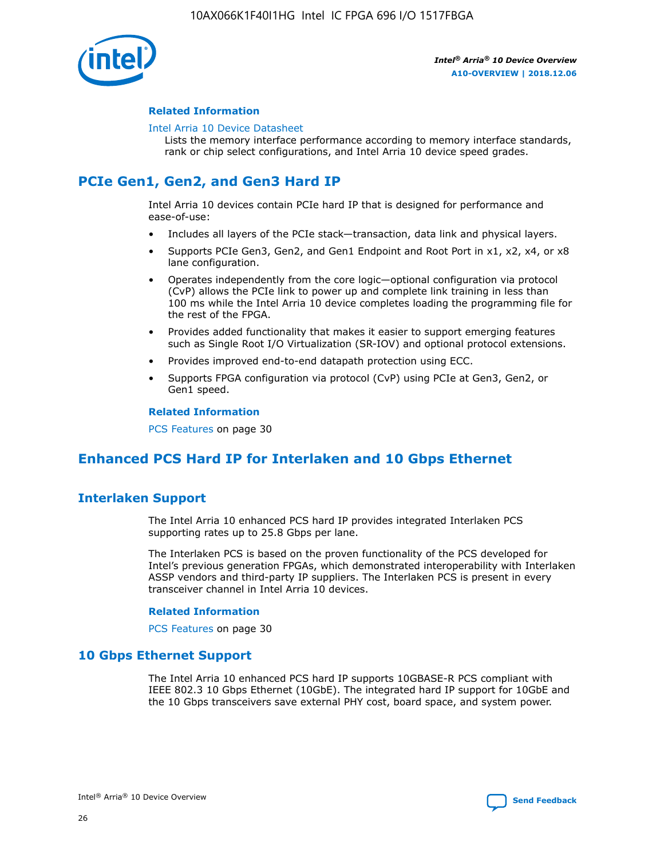

## **Related Information**

#### [Intel Arria 10 Device Datasheet](https://www.intel.com/content/www/us/en/programmable/documentation/mcn1413182292568.html#mcn1413182153340)

Lists the memory interface performance according to memory interface standards, rank or chip select configurations, and Intel Arria 10 device speed grades.

# **PCIe Gen1, Gen2, and Gen3 Hard IP**

Intel Arria 10 devices contain PCIe hard IP that is designed for performance and ease-of-use:

- Includes all layers of the PCIe stack—transaction, data link and physical layers.
- Supports PCIe Gen3, Gen2, and Gen1 Endpoint and Root Port in x1, x2, x4, or x8 lane configuration.
- Operates independently from the core logic—optional configuration via protocol (CvP) allows the PCIe link to power up and complete link training in less than 100 ms while the Intel Arria 10 device completes loading the programming file for the rest of the FPGA.
- Provides added functionality that makes it easier to support emerging features such as Single Root I/O Virtualization (SR-IOV) and optional protocol extensions.
- Provides improved end-to-end datapath protection using ECC.
- Supports FPGA configuration via protocol (CvP) using PCIe at Gen3, Gen2, or Gen1 speed.

#### **Related Information**

PCS Features on page 30

# **Enhanced PCS Hard IP for Interlaken and 10 Gbps Ethernet**

# **Interlaken Support**

The Intel Arria 10 enhanced PCS hard IP provides integrated Interlaken PCS supporting rates up to 25.8 Gbps per lane.

The Interlaken PCS is based on the proven functionality of the PCS developed for Intel's previous generation FPGAs, which demonstrated interoperability with Interlaken ASSP vendors and third-party IP suppliers. The Interlaken PCS is present in every transceiver channel in Intel Arria 10 devices.

## **Related Information**

PCS Features on page 30

# **10 Gbps Ethernet Support**

The Intel Arria 10 enhanced PCS hard IP supports 10GBASE-R PCS compliant with IEEE 802.3 10 Gbps Ethernet (10GbE). The integrated hard IP support for 10GbE and the 10 Gbps transceivers save external PHY cost, board space, and system power.

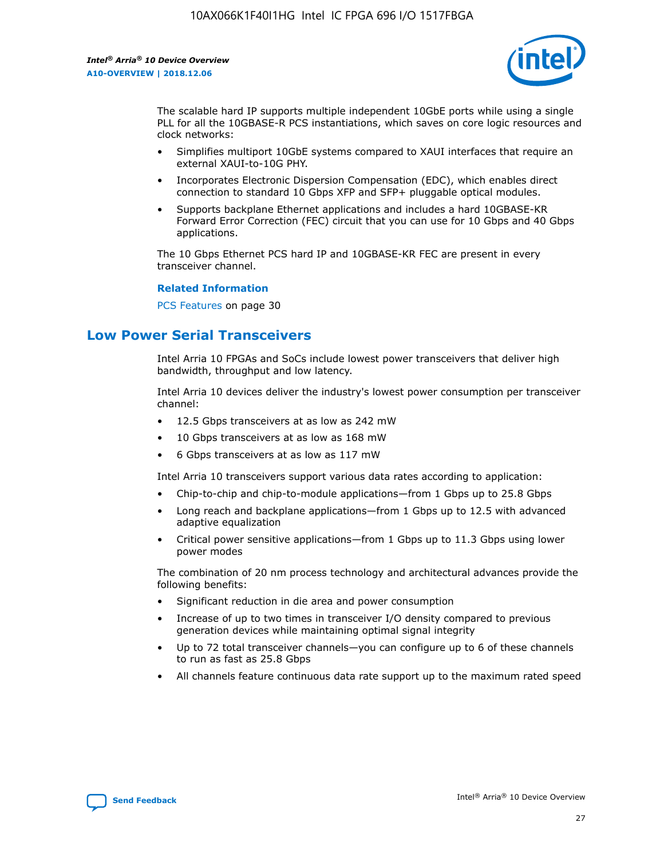

The scalable hard IP supports multiple independent 10GbE ports while using a single PLL for all the 10GBASE-R PCS instantiations, which saves on core logic resources and clock networks:

- Simplifies multiport 10GbE systems compared to XAUI interfaces that require an external XAUI-to-10G PHY.
- Incorporates Electronic Dispersion Compensation (EDC), which enables direct connection to standard 10 Gbps XFP and SFP+ pluggable optical modules.
- Supports backplane Ethernet applications and includes a hard 10GBASE-KR Forward Error Correction (FEC) circuit that you can use for 10 Gbps and 40 Gbps applications.

The 10 Gbps Ethernet PCS hard IP and 10GBASE-KR FEC are present in every transceiver channel.

#### **Related Information**

PCS Features on page 30

# **Low Power Serial Transceivers**

Intel Arria 10 FPGAs and SoCs include lowest power transceivers that deliver high bandwidth, throughput and low latency.

Intel Arria 10 devices deliver the industry's lowest power consumption per transceiver channel:

- 12.5 Gbps transceivers at as low as 242 mW
- 10 Gbps transceivers at as low as 168 mW
- 6 Gbps transceivers at as low as 117 mW

Intel Arria 10 transceivers support various data rates according to application:

- Chip-to-chip and chip-to-module applications—from 1 Gbps up to 25.8 Gbps
- Long reach and backplane applications—from 1 Gbps up to 12.5 with advanced adaptive equalization
- Critical power sensitive applications—from 1 Gbps up to 11.3 Gbps using lower power modes

The combination of 20 nm process technology and architectural advances provide the following benefits:

- Significant reduction in die area and power consumption
- Increase of up to two times in transceiver I/O density compared to previous generation devices while maintaining optimal signal integrity
- Up to 72 total transceiver channels—you can configure up to 6 of these channels to run as fast as 25.8 Gbps
- All channels feature continuous data rate support up to the maximum rated speed

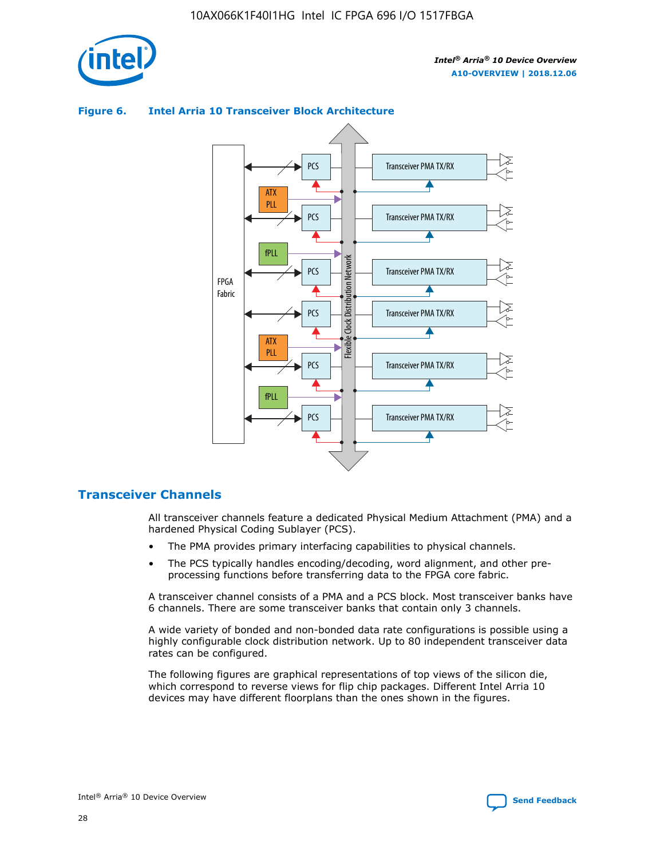

## **Figure 6. Intel Arria 10 Transceiver Block Architecture**



# **Transceiver Channels**

All transceiver channels feature a dedicated Physical Medium Attachment (PMA) and a hardened Physical Coding Sublayer (PCS).

- The PMA provides primary interfacing capabilities to physical channels.
- The PCS typically handles encoding/decoding, word alignment, and other preprocessing functions before transferring data to the FPGA core fabric.

A transceiver channel consists of a PMA and a PCS block. Most transceiver banks have 6 channels. There are some transceiver banks that contain only 3 channels.

A wide variety of bonded and non-bonded data rate configurations is possible using a highly configurable clock distribution network. Up to 80 independent transceiver data rates can be configured.

The following figures are graphical representations of top views of the silicon die, which correspond to reverse views for flip chip packages. Different Intel Arria 10 devices may have different floorplans than the ones shown in the figures.

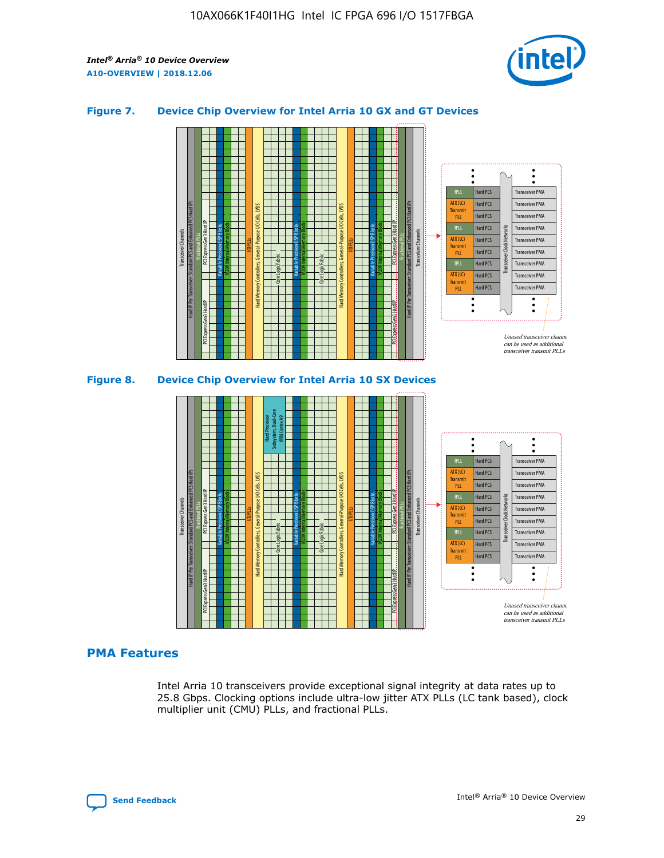

## **Figure 7. Device Chip Overview for Intel Arria 10 GX and GT Devices**



M20K Internal Memory Blocks Core Logic Fabric Transceiver Channels Hard IP Per Transceiver: Standard PCS and Enhanced PCS Hard IPs PCI Express Gen3 Hard IP Fractional PLLs M20K Internal Memory Blocks PCI Express Gen3 Hard IP Variable Precision DSP Blocks I/O PLLs Hard Memory Controllers, General-Purpose I/O Cells, LVDS Hard Processor Subsystem, Dual-Core ARM Cortex A9 M20K Internal Memory Blocks Variable Precision DSP Blocks M20K Internal Memory Blocks Core Logic Fabric I/O PLLs Hard Memory Controllers, General-Purpose I/O Cells, LVDS M20K Internal Memory Blocks Variable Precision DSP Blocks M20K Internal Memory Blocks Transceiver Channels Hard IP Per Transceiver: Standard PCS and Enhanced PCS Hard IPs PCI Express Gen3 Hard IP Fractional PLLs PCI Express Gen3 Hard IP Hard PCS Hard PCS Hard PCS Hard PCS Hard PCS Hard PCS Hard PCS Hard PCS Hard PCS Transceiver PMA Transceiver PMA Transceiver PMA Transceiver PMA Transceiver PMA Transceiver PMA Transceiver PMA Unused transceiver chann can be used as additional transceiver transmit PLLs Transceiver PMA Transceiver PMA Transceiver Clock Networks fPLL ATX (LC) **Transmit** PLL fPLL ATX (LC) Transmi PLL fPLL ATX (LC) **Transmit** PLL

# **PMA Features**

Intel Arria 10 transceivers provide exceptional signal integrity at data rates up to 25.8 Gbps. Clocking options include ultra-low jitter ATX PLLs (LC tank based), clock multiplier unit (CMU) PLLs, and fractional PLLs.

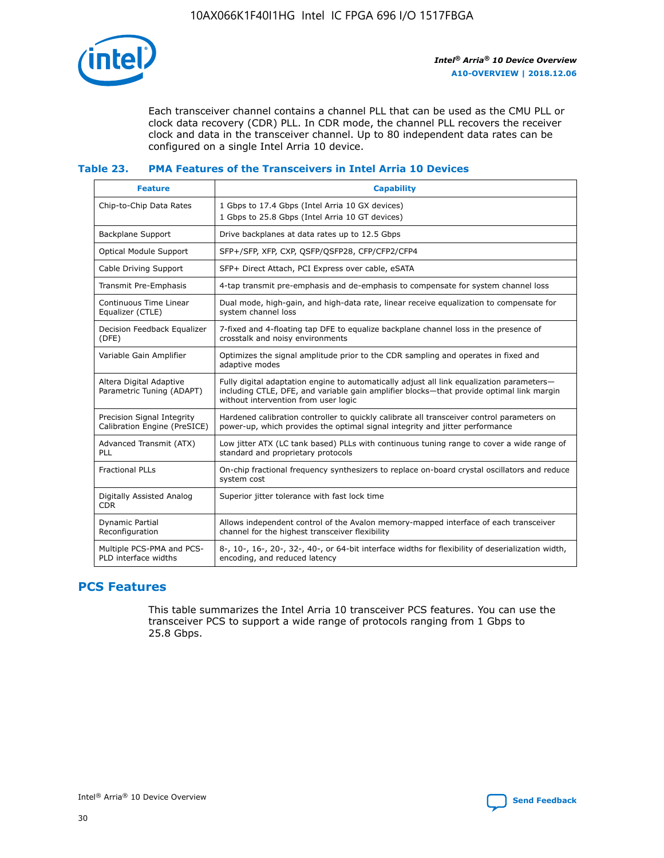

Each transceiver channel contains a channel PLL that can be used as the CMU PLL or clock data recovery (CDR) PLL. In CDR mode, the channel PLL recovers the receiver clock and data in the transceiver channel. Up to 80 independent data rates can be configured on a single Intel Arria 10 device.

## **Table 23. PMA Features of the Transceivers in Intel Arria 10 Devices**

| <b>Feature</b>                                             | <b>Capability</b>                                                                                                                                                                                                             |
|------------------------------------------------------------|-------------------------------------------------------------------------------------------------------------------------------------------------------------------------------------------------------------------------------|
| Chip-to-Chip Data Rates                                    | 1 Gbps to 17.4 Gbps (Intel Arria 10 GX devices)<br>1 Gbps to 25.8 Gbps (Intel Arria 10 GT devices)                                                                                                                            |
| Backplane Support                                          | Drive backplanes at data rates up to 12.5 Gbps                                                                                                                                                                                |
| <b>Optical Module Support</b>                              | SFP+/SFP, XFP, CXP, QSFP/QSFP28, CFP/CFP2/CFP4                                                                                                                                                                                |
| Cable Driving Support                                      | SFP+ Direct Attach, PCI Express over cable, eSATA                                                                                                                                                                             |
| Transmit Pre-Emphasis                                      | 4-tap transmit pre-emphasis and de-emphasis to compensate for system channel loss                                                                                                                                             |
| Continuous Time Linear<br>Equalizer (CTLE)                 | Dual mode, high-gain, and high-data rate, linear receive equalization to compensate for<br>system channel loss                                                                                                                |
| Decision Feedback Equalizer<br>(DFE)                       | 7-fixed and 4-floating tap DFE to equalize backplane channel loss in the presence of<br>crosstalk and noisy environments                                                                                                      |
| Variable Gain Amplifier                                    | Optimizes the signal amplitude prior to the CDR sampling and operates in fixed and<br>adaptive modes                                                                                                                          |
| Altera Digital Adaptive<br>Parametric Tuning (ADAPT)       | Fully digital adaptation engine to automatically adjust all link equalization parameters-<br>including CTLE, DFE, and variable gain amplifier blocks—that provide optimal link margin<br>without intervention from user logic |
| Precision Signal Integrity<br>Calibration Engine (PreSICE) | Hardened calibration controller to quickly calibrate all transceiver control parameters on<br>power-up, which provides the optimal signal integrity and jitter performance                                                    |
| Advanced Transmit (ATX)<br>PLL                             | Low jitter ATX (LC tank based) PLLs with continuous tuning range to cover a wide range of<br>standard and proprietary protocols                                                                                               |
| <b>Fractional PLLs</b>                                     | On-chip fractional frequency synthesizers to replace on-board crystal oscillators and reduce<br>system cost                                                                                                                   |
| Digitally Assisted Analog<br><b>CDR</b>                    | Superior jitter tolerance with fast lock time                                                                                                                                                                                 |
| Dynamic Partial<br>Reconfiguration                         | Allows independent control of the Avalon memory-mapped interface of each transceiver<br>channel for the highest transceiver flexibility                                                                                       |
| Multiple PCS-PMA and PCS-<br>PLD interface widths          | 8-, 10-, 16-, 20-, 32-, 40-, or 64-bit interface widths for flexibility of deserialization width,<br>encoding, and reduced latency                                                                                            |

# **PCS Features**

This table summarizes the Intel Arria 10 transceiver PCS features. You can use the transceiver PCS to support a wide range of protocols ranging from 1 Gbps to 25.8 Gbps.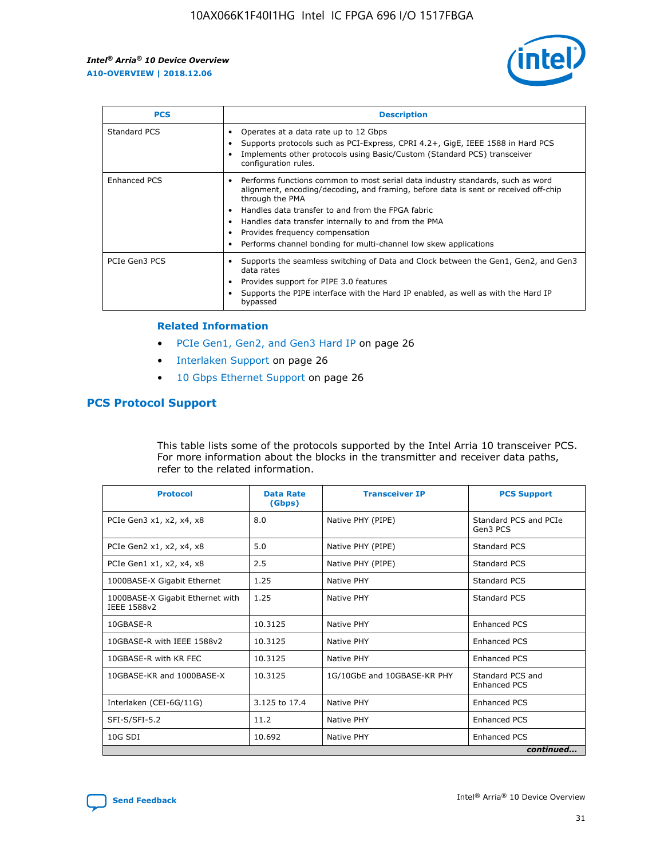

| <b>PCS</b>    | <b>Description</b>                                                                                                                                                                                                                                                                                                                                                                                                          |
|---------------|-----------------------------------------------------------------------------------------------------------------------------------------------------------------------------------------------------------------------------------------------------------------------------------------------------------------------------------------------------------------------------------------------------------------------------|
| Standard PCS  | Operates at a data rate up to 12 Gbps<br>Supports protocols such as PCI-Express, CPRI 4.2+, GigE, IEEE 1588 in Hard PCS<br>Implements other protocols using Basic/Custom (Standard PCS) transceiver<br>configuration rules.                                                                                                                                                                                                 |
| Enhanced PCS  | Performs functions common to most serial data industry standards, such as word<br>$\bullet$<br>alignment, encoding/decoding, and framing, before data is sent or received off-chip<br>through the PMA<br>• Handles data transfer to and from the FPGA fabric<br>Handles data transfer internally to and from the PMA<br>Provides frequency compensation<br>Performs channel bonding for multi-channel low skew applications |
| PCIe Gen3 PCS | Supports the seamless switching of Data and Clock between the Gen1, Gen2, and Gen3<br>data rates<br>Provides support for PIPE 3.0 features<br>Supports the PIPE interface with the Hard IP enabled, as well as with the Hard IP<br>bypassed                                                                                                                                                                                 |

#### **Related Information**

- PCIe Gen1, Gen2, and Gen3 Hard IP on page 26
- Interlaken Support on page 26
- 10 Gbps Ethernet Support on page 26

# **PCS Protocol Support**

This table lists some of the protocols supported by the Intel Arria 10 transceiver PCS. For more information about the blocks in the transmitter and receiver data paths, refer to the related information.

| <b>Protocol</b>                                 | <b>Data Rate</b><br>(Gbps) | <b>Transceiver IP</b>       | <b>PCS Support</b>                      |
|-------------------------------------------------|----------------------------|-----------------------------|-----------------------------------------|
| PCIe Gen3 x1, x2, x4, x8                        | 8.0                        | Native PHY (PIPE)           | Standard PCS and PCIe<br>Gen3 PCS       |
| PCIe Gen2 x1, x2, x4, x8                        | 5.0                        | Native PHY (PIPE)           | <b>Standard PCS</b>                     |
| PCIe Gen1 x1, x2, x4, x8                        | 2.5                        | Native PHY (PIPE)           | Standard PCS                            |
| 1000BASE-X Gigabit Ethernet                     | 1.25                       | Native PHY                  | <b>Standard PCS</b>                     |
| 1000BASE-X Gigabit Ethernet with<br>IEEE 1588v2 | 1.25                       | Native PHY                  | Standard PCS                            |
| 10GBASE-R                                       | 10.3125                    | Native PHY                  | <b>Enhanced PCS</b>                     |
| 10GBASE-R with IEEE 1588v2                      | 10.3125                    | Native PHY                  | <b>Enhanced PCS</b>                     |
| 10GBASE-R with KR FEC                           | 10.3125                    | Native PHY                  | <b>Enhanced PCS</b>                     |
| 10GBASE-KR and 1000BASE-X                       | 10.3125                    | 1G/10GbE and 10GBASE-KR PHY | Standard PCS and<br><b>Enhanced PCS</b> |
| Interlaken (CEI-6G/11G)                         | 3.125 to 17.4              | Native PHY                  | <b>Enhanced PCS</b>                     |
| SFI-S/SFI-5.2                                   | 11.2                       | Native PHY                  | <b>Enhanced PCS</b>                     |
| $10G$ SDI                                       | 10.692                     | Native PHY                  | <b>Enhanced PCS</b>                     |
|                                                 |                            |                             | continued                               |

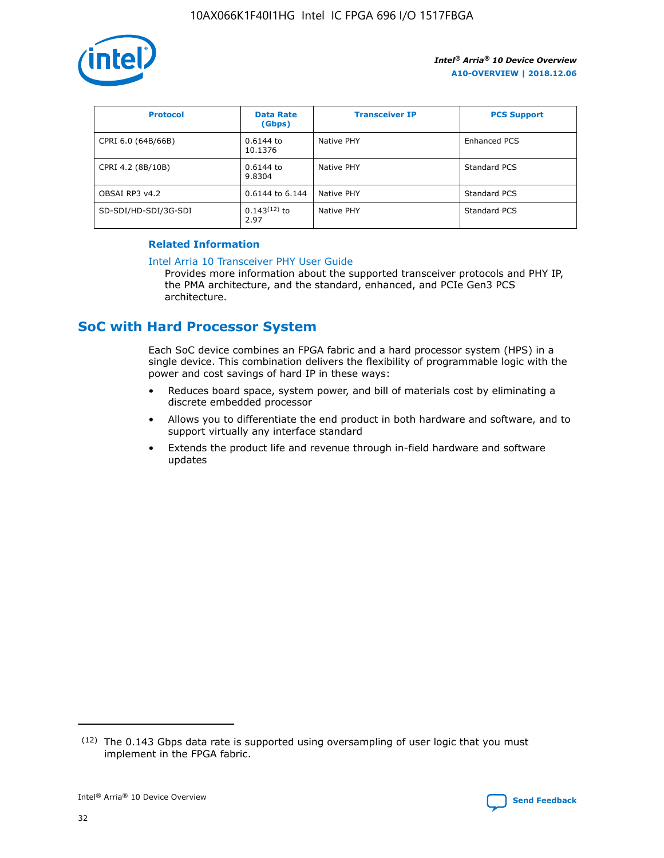

| <b>Protocol</b>      | <b>Data Rate</b><br>(Gbps) | <b>Transceiver IP</b> | <b>PCS Support</b> |
|----------------------|----------------------------|-----------------------|--------------------|
| CPRI 6.0 (64B/66B)   | $0.6144$ to<br>10.1376     | Native PHY            | Enhanced PCS       |
| CPRI 4.2 (8B/10B)    | 0.6144 to<br>9.8304        | Native PHY            | Standard PCS       |
| OBSAI RP3 v4.2       | 0.6144 to 6.144            | Native PHY            | Standard PCS       |
| SD-SDI/HD-SDI/3G-SDI | $0.143(12)$ to<br>2.97     | Native PHY            | Standard PCS       |

## **Related Information**

#### [Intel Arria 10 Transceiver PHY User Guide](https://www.intel.com/content/www/us/en/programmable/documentation/nik1398707230472.html#nik1398707091164)

Provides more information about the supported transceiver protocols and PHY IP, the PMA architecture, and the standard, enhanced, and PCIe Gen3 PCS architecture.

# **SoC with Hard Processor System**

Each SoC device combines an FPGA fabric and a hard processor system (HPS) in a single device. This combination delivers the flexibility of programmable logic with the power and cost savings of hard IP in these ways:

- Reduces board space, system power, and bill of materials cost by eliminating a discrete embedded processor
- Allows you to differentiate the end product in both hardware and software, and to support virtually any interface standard
- Extends the product life and revenue through in-field hardware and software updates

<sup>(12)</sup> The 0.143 Gbps data rate is supported using oversampling of user logic that you must implement in the FPGA fabric.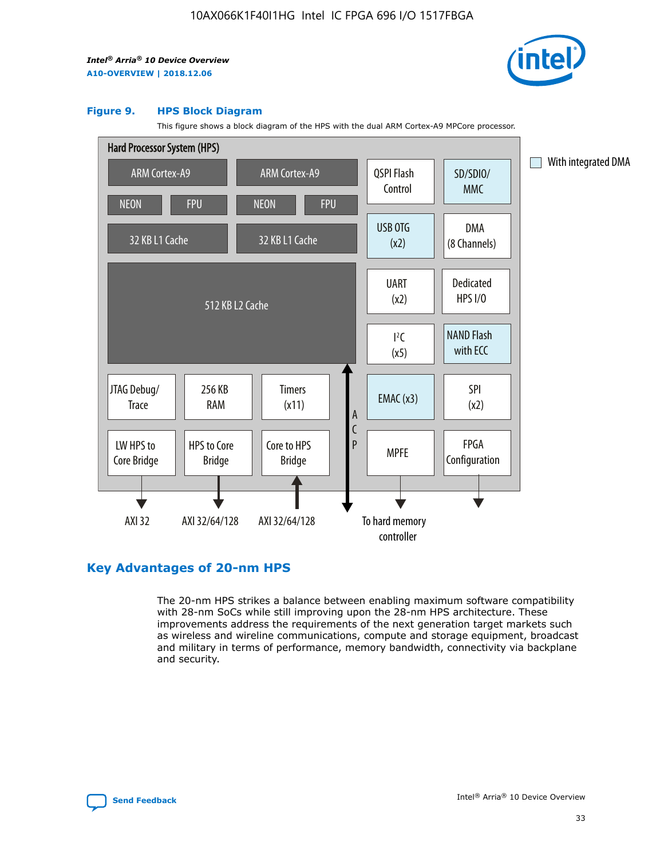

#### **Figure 9. HPS Block Diagram**

This figure shows a block diagram of the HPS with the dual ARM Cortex-A9 MPCore processor.



# **Key Advantages of 20-nm HPS**

The 20-nm HPS strikes a balance between enabling maximum software compatibility with 28-nm SoCs while still improving upon the 28-nm HPS architecture. These improvements address the requirements of the next generation target markets such as wireless and wireline communications, compute and storage equipment, broadcast and military in terms of performance, memory bandwidth, connectivity via backplane and security.

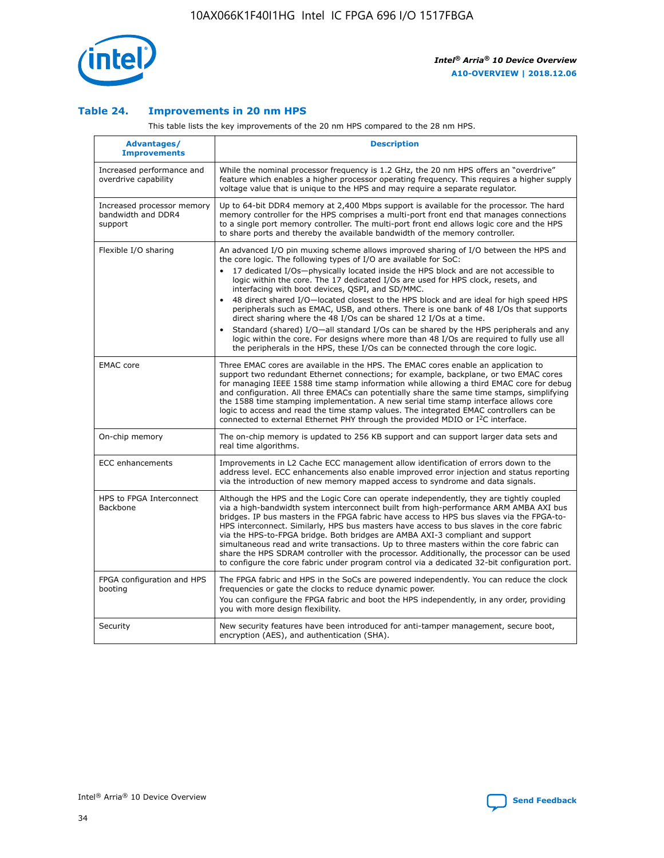

## **Table 24. Improvements in 20 nm HPS**

This table lists the key improvements of the 20 nm HPS compared to the 28 nm HPS.

| <b>Advantages/</b><br><b>Improvements</b>                   | <b>Description</b>                                                                                                                                                                                                                                                                                                                                                                                                                                                                                                                                                                                                                                                                                                                                                                                                                                                                                                      |
|-------------------------------------------------------------|-------------------------------------------------------------------------------------------------------------------------------------------------------------------------------------------------------------------------------------------------------------------------------------------------------------------------------------------------------------------------------------------------------------------------------------------------------------------------------------------------------------------------------------------------------------------------------------------------------------------------------------------------------------------------------------------------------------------------------------------------------------------------------------------------------------------------------------------------------------------------------------------------------------------------|
| Increased performance and<br>overdrive capability           | While the nominal processor frequency is 1.2 GHz, the 20 nm HPS offers an "overdrive"<br>feature which enables a higher processor operating frequency. This requires a higher supply<br>voltage value that is unique to the HPS and may require a separate regulator.                                                                                                                                                                                                                                                                                                                                                                                                                                                                                                                                                                                                                                                   |
| Increased processor memory<br>bandwidth and DDR4<br>support | Up to 64-bit DDR4 memory at 2,400 Mbps support is available for the processor. The hard<br>memory controller for the HPS comprises a multi-port front end that manages connections<br>to a single port memory controller. The multi-port front end allows logic core and the HPS<br>to share ports and thereby the available bandwidth of the memory controller.                                                                                                                                                                                                                                                                                                                                                                                                                                                                                                                                                        |
| Flexible I/O sharing                                        | An advanced I/O pin muxing scheme allows improved sharing of I/O between the HPS and<br>the core logic. The following types of I/O are available for SoC:<br>17 dedicated I/Os-physically located inside the HPS block and are not accessible to<br>logic within the core. The 17 dedicated I/Os are used for HPS clock, resets, and<br>interfacing with boot devices, QSPI, and SD/MMC.<br>48 direct shared I/O-located closest to the HPS block and are ideal for high speed HPS<br>peripherals such as EMAC, USB, and others. There is one bank of 48 I/Os that supports<br>direct sharing where the 48 I/Os can be shared 12 I/Os at a time.<br>Standard (shared) I/O-all standard I/Os can be shared by the HPS peripherals and any<br>logic within the core. For designs where more than 48 I/Os are required to fully use all<br>the peripherals in the HPS, these I/Os can be connected through the core logic. |
| <b>EMAC</b> core                                            | Three EMAC cores are available in the HPS. The EMAC cores enable an application to<br>support two redundant Ethernet connections; for example, backplane, or two EMAC cores<br>for managing IEEE 1588 time stamp information while allowing a third EMAC core for debug<br>and configuration. All three EMACs can potentially share the same time stamps, simplifying<br>the 1588 time stamping implementation. A new serial time stamp interface allows core<br>logic to access and read the time stamp values. The integrated EMAC controllers can be<br>connected to external Ethernet PHY through the provided MDIO or I <sup>2</sup> C interface.                                                                                                                                                                                                                                                                  |
| On-chip memory                                              | The on-chip memory is updated to 256 KB support and can support larger data sets and<br>real time algorithms.                                                                                                                                                                                                                                                                                                                                                                                                                                                                                                                                                                                                                                                                                                                                                                                                           |
| <b>ECC</b> enhancements                                     | Improvements in L2 Cache ECC management allow identification of errors down to the<br>address level. ECC enhancements also enable improved error injection and status reporting<br>via the introduction of new memory mapped access to syndrome and data signals.                                                                                                                                                                                                                                                                                                                                                                                                                                                                                                                                                                                                                                                       |
| HPS to FPGA Interconnect<br><b>Backbone</b>                 | Although the HPS and the Logic Core can operate independently, they are tightly coupled<br>via a high-bandwidth system interconnect built from high-performance ARM AMBA AXI bus<br>bridges. IP bus masters in the FPGA fabric have access to HPS bus slaves via the FPGA-to-<br>HPS interconnect. Similarly, HPS bus masters have access to bus slaves in the core fabric<br>via the HPS-to-FPGA bridge. Both bridges are AMBA AXI-3 compliant and support<br>simultaneous read and write transactions. Up to three masters within the core fabric can<br>share the HPS SDRAM controller with the processor. Additionally, the processor can be used<br>to configure the core fabric under program control via a dedicated 32-bit configuration port.                                                                                                                                                                  |
| FPGA configuration and HPS<br>booting                       | The FPGA fabric and HPS in the SoCs are powered independently. You can reduce the clock<br>frequencies or gate the clocks to reduce dynamic power.<br>You can configure the FPGA fabric and boot the HPS independently, in any order, providing<br>you with more design flexibility.                                                                                                                                                                                                                                                                                                                                                                                                                                                                                                                                                                                                                                    |
| Security                                                    | New security features have been introduced for anti-tamper management, secure boot,<br>encryption (AES), and authentication (SHA).                                                                                                                                                                                                                                                                                                                                                                                                                                                                                                                                                                                                                                                                                                                                                                                      |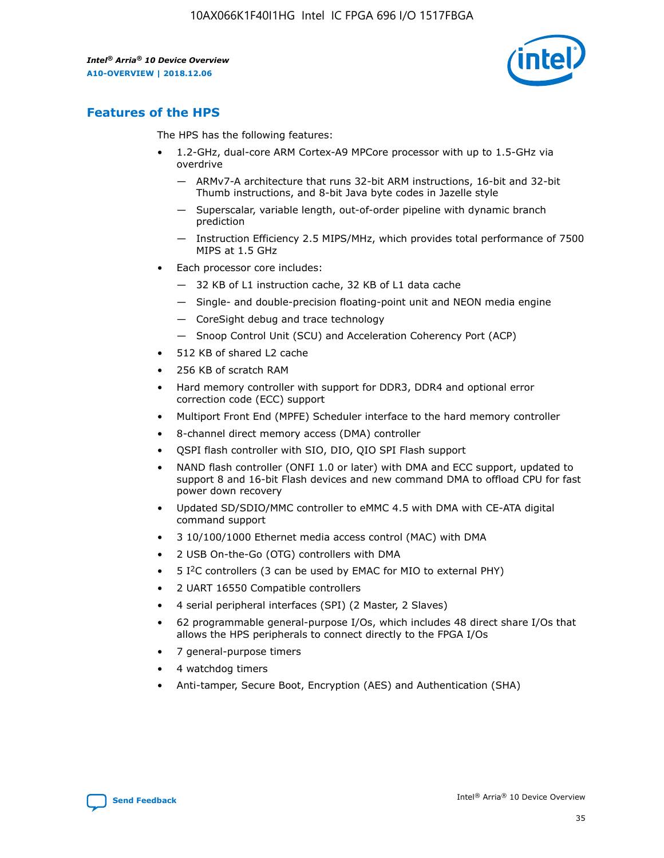

# **Features of the HPS**

The HPS has the following features:

- 1.2-GHz, dual-core ARM Cortex-A9 MPCore processor with up to 1.5-GHz via overdrive
	- ARMv7-A architecture that runs 32-bit ARM instructions, 16-bit and 32-bit Thumb instructions, and 8-bit Java byte codes in Jazelle style
	- Superscalar, variable length, out-of-order pipeline with dynamic branch prediction
	- Instruction Efficiency 2.5 MIPS/MHz, which provides total performance of 7500 MIPS at 1.5 GHz
- Each processor core includes:
	- 32 KB of L1 instruction cache, 32 KB of L1 data cache
	- Single- and double-precision floating-point unit and NEON media engine
	- CoreSight debug and trace technology
	- Snoop Control Unit (SCU) and Acceleration Coherency Port (ACP)
- 512 KB of shared L2 cache
- 256 KB of scratch RAM
- Hard memory controller with support for DDR3, DDR4 and optional error correction code (ECC) support
- Multiport Front End (MPFE) Scheduler interface to the hard memory controller
- 8-channel direct memory access (DMA) controller
- QSPI flash controller with SIO, DIO, QIO SPI Flash support
- NAND flash controller (ONFI 1.0 or later) with DMA and ECC support, updated to support 8 and 16-bit Flash devices and new command DMA to offload CPU for fast power down recovery
- Updated SD/SDIO/MMC controller to eMMC 4.5 with DMA with CE-ATA digital command support
- 3 10/100/1000 Ethernet media access control (MAC) with DMA
- 2 USB On-the-Go (OTG) controllers with DMA
- $\bullet$  5 I<sup>2</sup>C controllers (3 can be used by EMAC for MIO to external PHY)
- 2 UART 16550 Compatible controllers
- 4 serial peripheral interfaces (SPI) (2 Master, 2 Slaves)
- 62 programmable general-purpose I/Os, which includes 48 direct share I/Os that allows the HPS peripherals to connect directly to the FPGA I/Os
- 7 general-purpose timers
- 4 watchdog timers
- Anti-tamper, Secure Boot, Encryption (AES) and Authentication (SHA)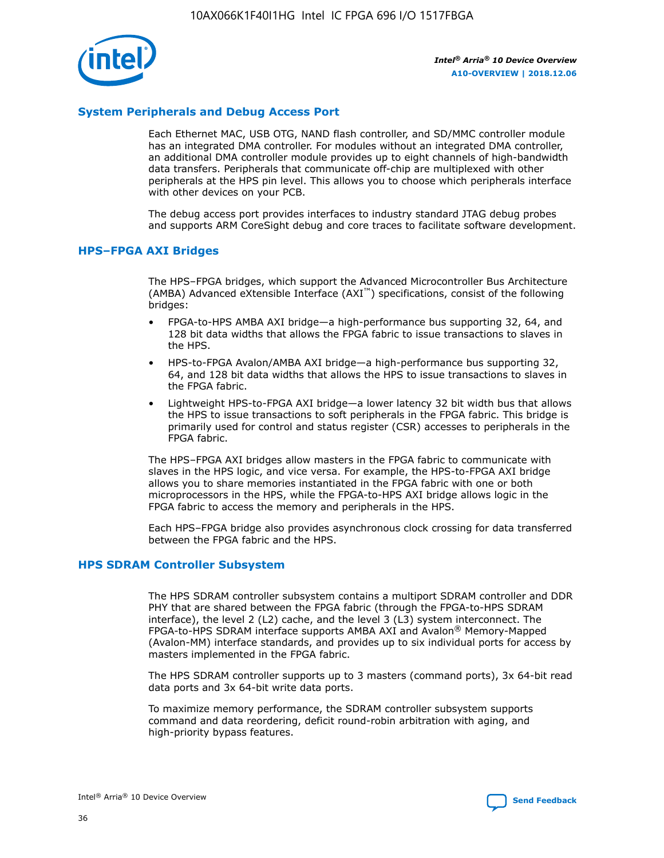

# **System Peripherals and Debug Access Port**

Each Ethernet MAC, USB OTG, NAND flash controller, and SD/MMC controller module has an integrated DMA controller. For modules without an integrated DMA controller, an additional DMA controller module provides up to eight channels of high-bandwidth data transfers. Peripherals that communicate off-chip are multiplexed with other peripherals at the HPS pin level. This allows you to choose which peripherals interface with other devices on your PCB.

The debug access port provides interfaces to industry standard JTAG debug probes and supports ARM CoreSight debug and core traces to facilitate software development.

#### **HPS–FPGA AXI Bridges**

The HPS–FPGA bridges, which support the Advanced Microcontroller Bus Architecture (AMBA) Advanced eXtensible Interface (AXI™) specifications, consist of the following bridges:

- FPGA-to-HPS AMBA AXI bridge—a high-performance bus supporting 32, 64, and 128 bit data widths that allows the FPGA fabric to issue transactions to slaves in the HPS.
- HPS-to-FPGA Avalon/AMBA AXI bridge—a high-performance bus supporting 32, 64, and 128 bit data widths that allows the HPS to issue transactions to slaves in the FPGA fabric.
- Lightweight HPS-to-FPGA AXI bridge—a lower latency 32 bit width bus that allows the HPS to issue transactions to soft peripherals in the FPGA fabric. This bridge is primarily used for control and status register (CSR) accesses to peripherals in the FPGA fabric.

The HPS–FPGA AXI bridges allow masters in the FPGA fabric to communicate with slaves in the HPS logic, and vice versa. For example, the HPS-to-FPGA AXI bridge allows you to share memories instantiated in the FPGA fabric with one or both microprocessors in the HPS, while the FPGA-to-HPS AXI bridge allows logic in the FPGA fabric to access the memory and peripherals in the HPS.

Each HPS–FPGA bridge also provides asynchronous clock crossing for data transferred between the FPGA fabric and the HPS.

#### **HPS SDRAM Controller Subsystem**

The HPS SDRAM controller subsystem contains a multiport SDRAM controller and DDR PHY that are shared between the FPGA fabric (through the FPGA-to-HPS SDRAM interface), the level 2 (L2) cache, and the level 3 (L3) system interconnect. The FPGA-to-HPS SDRAM interface supports AMBA AXI and Avalon® Memory-Mapped (Avalon-MM) interface standards, and provides up to six individual ports for access by masters implemented in the FPGA fabric.

The HPS SDRAM controller supports up to 3 masters (command ports), 3x 64-bit read data ports and 3x 64-bit write data ports.

To maximize memory performance, the SDRAM controller subsystem supports command and data reordering, deficit round-robin arbitration with aging, and high-priority bypass features.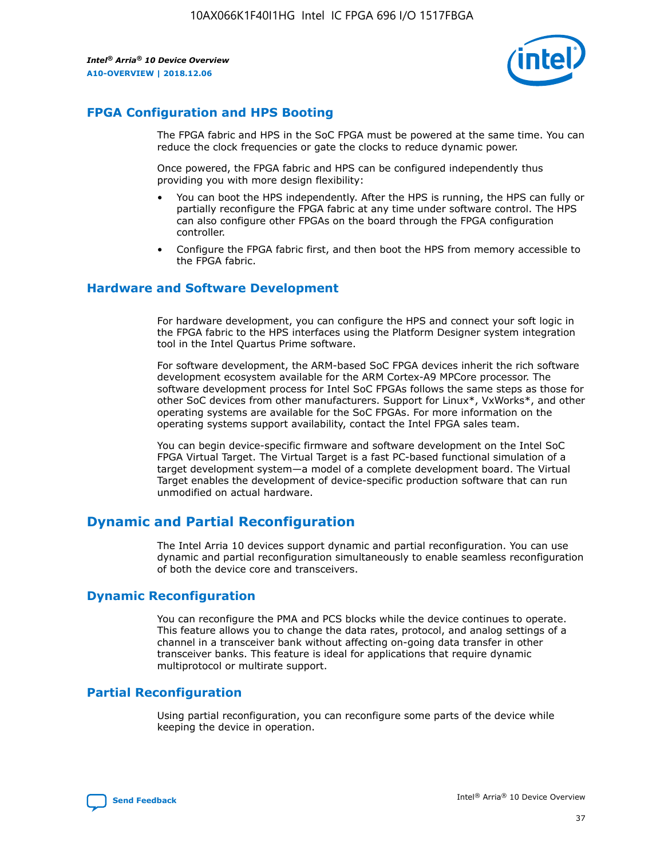

# **FPGA Configuration and HPS Booting**

The FPGA fabric and HPS in the SoC FPGA must be powered at the same time. You can reduce the clock frequencies or gate the clocks to reduce dynamic power.

Once powered, the FPGA fabric and HPS can be configured independently thus providing you with more design flexibility:

- You can boot the HPS independently. After the HPS is running, the HPS can fully or partially reconfigure the FPGA fabric at any time under software control. The HPS can also configure other FPGAs on the board through the FPGA configuration controller.
- Configure the FPGA fabric first, and then boot the HPS from memory accessible to the FPGA fabric.

## **Hardware and Software Development**

For hardware development, you can configure the HPS and connect your soft logic in the FPGA fabric to the HPS interfaces using the Platform Designer system integration tool in the Intel Quartus Prime software.

For software development, the ARM-based SoC FPGA devices inherit the rich software development ecosystem available for the ARM Cortex-A9 MPCore processor. The software development process for Intel SoC FPGAs follows the same steps as those for other SoC devices from other manufacturers. Support for Linux\*, VxWorks\*, and other operating systems are available for the SoC FPGAs. For more information on the operating systems support availability, contact the Intel FPGA sales team.

You can begin device-specific firmware and software development on the Intel SoC FPGA Virtual Target. The Virtual Target is a fast PC-based functional simulation of a target development system—a model of a complete development board. The Virtual Target enables the development of device-specific production software that can run unmodified on actual hardware.

# **Dynamic and Partial Reconfiguration**

The Intel Arria 10 devices support dynamic and partial reconfiguration. You can use dynamic and partial reconfiguration simultaneously to enable seamless reconfiguration of both the device core and transceivers.

# **Dynamic Reconfiguration**

You can reconfigure the PMA and PCS blocks while the device continues to operate. This feature allows you to change the data rates, protocol, and analog settings of a channel in a transceiver bank without affecting on-going data transfer in other transceiver banks. This feature is ideal for applications that require dynamic multiprotocol or multirate support.

# **Partial Reconfiguration**

Using partial reconfiguration, you can reconfigure some parts of the device while keeping the device in operation.

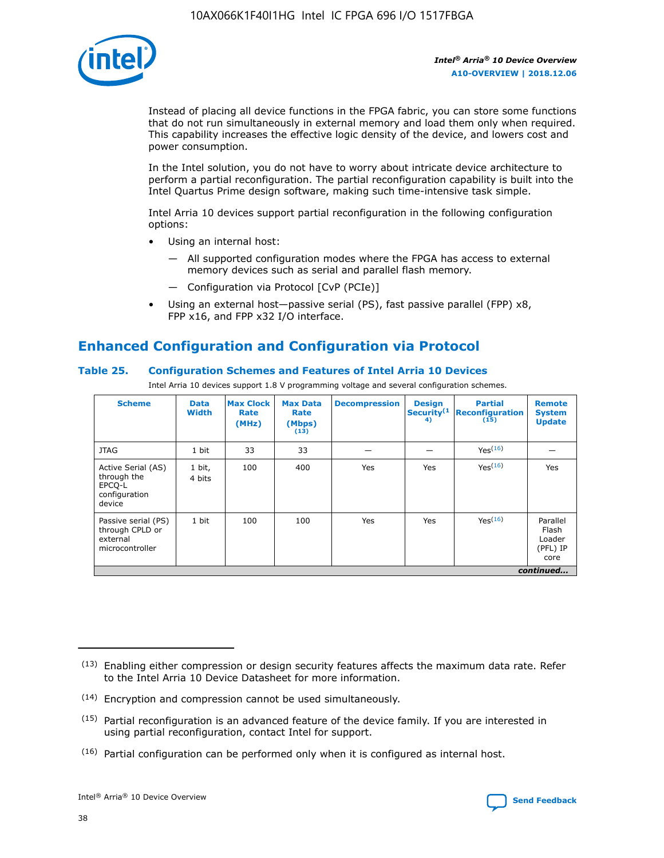

Instead of placing all device functions in the FPGA fabric, you can store some functions that do not run simultaneously in external memory and load them only when required. This capability increases the effective logic density of the device, and lowers cost and power consumption.

In the Intel solution, you do not have to worry about intricate device architecture to perform a partial reconfiguration. The partial reconfiguration capability is built into the Intel Quartus Prime design software, making such time-intensive task simple.

Intel Arria 10 devices support partial reconfiguration in the following configuration options:

- Using an internal host:
	- All supported configuration modes where the FPGA has access to external memory devices such as serial and parallel flash memory.
	- Configuration via Protocol [CvP (PCIe)]
- Using an external host—passive serial (PS), fast passive parallel (FPP) x8, FPP x16, and FPP x32 I/O interface.

# **Enhanced Configuration and Configuration via Protocol**

## **Table 25. Configuration Schemes and Features of Intel Arria 10 Devices**

Intel Arria 10 devices support 1.8 V programming voltage and several configuration schemes.

| <b>Scheme</b>                                                          | <b>Data</b><br><b>Width</b> | <b>Max Clock</b><br>Rate<br>(MHz) | <b>Max Data</b><br>Rate<br>(Mbps)<br>(13) | <b>Decompression</b> | <b>Design</b><br>Security <sup>(1</sup><br>4) | <b>Partial</b><br><b>Reconfiguration</b><br>(15) | <b>Remote</b><br><b>System</b><br><b>Update</b> |
|------------------------------------------------------------------------|-----------------------------|-----------------------------------|-------------------------------------------|----------------------|-----------------------------------------------|--------------------------------------------------|-------------------------------------------------|
| <b>JTAG</b>                                                            | 1 bit                       | 33                                | 33                                        |                      |                                               | Yes(16)                                          |                                                 |
| Active Serial (AS)<br>through the<br>EPCO-L<br>configuration<br>device | 1 bit,<br>4 bits            | 100                               | 400                                       | Yes                  | Yes                                           | Yes(16)                                          | Yes                                             |
| Passive serial (PS)<br>through CPLD or<br>external<br>microcontroller  | 1 bit                       | 100                               | 100                                       | Yes                  | Yes                                           | Yes <sup>(16)</sup>                              | Parallel<br>Flash<br>Loader<br>(PFL) IP<br>core |
|                                                                        |                             |                                   |                                           |                      |                                               |                                                  | continued                                       |

<sup>(13)</sup> Enabling either compression or design security features affects the maximum data rate. Refer to the Intel Arria 10 Device Datasheet for more information.

<sup>(14)</sup> Encryption and compression cannot be used simultaneously.

 $(15)$  Partial reconfiguration is an advanced feature of the device family. If you are interested in using partial reconfiguration, contact Intel for support.

 $(16)$  Partial configuration can be performed only when it is configured as internal host.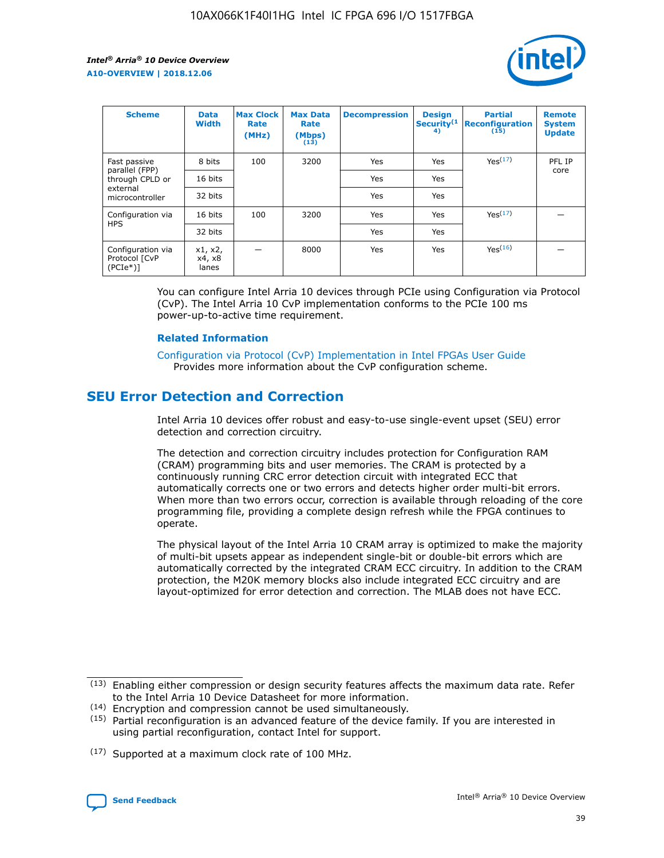

| <b>Scheme</b>                                    | <b>Data</b><br><b>Width</b> | <b>Max Clock</b><br>Rate<br>(MHz) | <b>Max Data</b><br>Rate<br>(Mbps)<br>(13) | <b>Decompression</b> | <b>Design</b><br>Security <sup>(1</sup><br>4) | <b>Partial</b><br><b>Reconfiguration</b><br>(15) | <b>Remote</b><br><b>System</b><br><b>Update</b> |
|--------------------------------------------------|-----------------------------|-----------------------------------|-------------------------------------------|----------------------|-----------------------------------------------|--------------------------------------------------|-------------------------------------------------|
| Fast passive                                     | 8 bits                      | 100                               | 3200                                      | Yes                  | Yes                                           | Yes(17)                                          | PFL IP                                          |
| parallel (FPP)<br>through CPLD or                | 16 bits                     |                                   |                                           | Yes                  | Yes                                           |                                                  | core                                            |
| external<br>microcontroller                      | 32 bits                     |                                   |                                           | Yes                  | Yes                                           |                                                  |                                                 |
| Configuration via                                | 16 bits                     | 100                               | 3200                                      | Yes                  | Yes                                           | Yes <sup>(17)</sup>                              |                                                 |
| <b>HPS</b>                                       | 32 bits                     |                                   |                                           | Yes                  | Yes                                           |                                                  |                                                 |
| Configuration via<br>Protocol [CvP<br>$(PCIe^*)$ | x1, x2,<br>x4, x8<br>lanes  |                                   | 8000                                      | Yes                  | Yes                                           | Yes(16)                                          |                                                 |

You can configure Intel Arria 10 devices through PCIe using Configuration via Protocol (CvP). The Intel Arria 10 CvP implementation conforms to the PCIe 100 ms power-up-to-active time requirement.

#### **Related Information**

[Configuration via Protocol \(CvP\) Implementation in Intel FPGAs User Guide](https://www.intel.com/content/www/us/en/programmable/documentation/dsu1441819344145.html#dsu1442269728522) Provides more information about the CvP configuration scheme.

# **SEU Error Detection and Correction**

Intel Arria 10 devices offer robust and easy-to-use single-event upset (SEU) error detection and correction circuitry.

The detection and correction circuitry includes protection for Configuration RAM (CRAM) programming bits and user memories. The CRAM is protected by a continuously running CRC error detection circuit with integrated ECC that automatically corrects one or two errors and detects higher order multi-bit errors. When more than two errors occur, correction is available through reloading of the core programming file, providing a complete design refresh while the FPGA continues to operate.

The physical layout of the Intel Arria 10 CRAM array is optimized to make the majority of multi-bit upsets appear as independent single-bit or double-bit errors which are automatically corrected by the integrated CRAM ECC circuitry. In addition to the CRAM protection, the M20K memory blocks also include integrated ECC circuitry and are layout-optimized for error detection and correction. The MLAB does not have ECC.

<sup>(17)</sup> Supported at a maximum clock rate of 100 MHz.



 $(13)$  Enabling either compression or design security features affects the maximum data rate. Refer to the Intel Arria 10 Device Datasheet for more information.

<sup>(14)</sup> Encryption and compression cannot be used simultaneously.

 $(15)$  Partial reconfiguration is an advanced feature of the device family. If you are interested in using partial reconfiguration, contact Intel for support.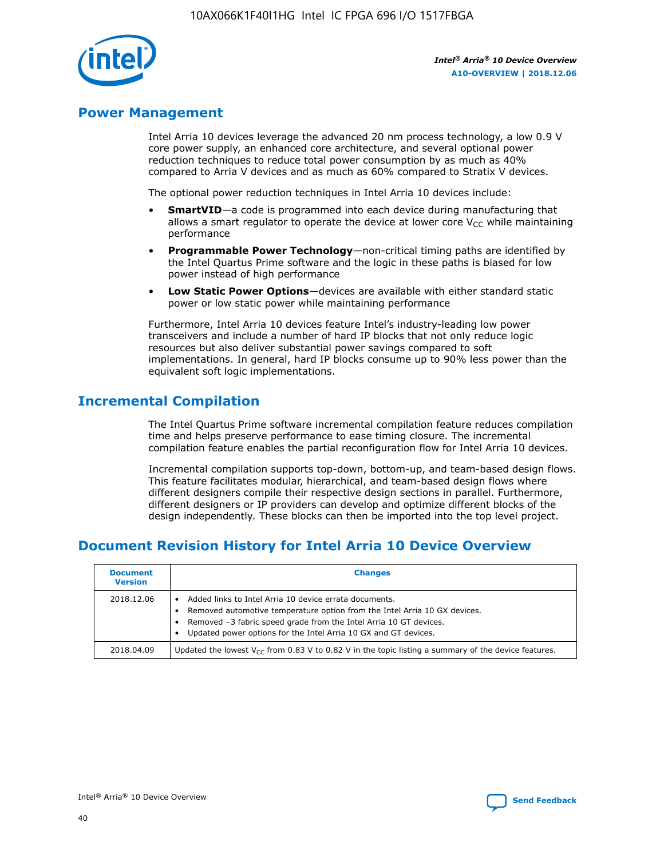

# **Power Management**

Intel Arria 10 devices leverage the advanced 20 nm process technology, a low 0.9 V core power supply, an enhanced core architecture, and several optional power reduction techniques to reduce total power consumption by as much as 40% compared to Arria V devices and as much as 60% compared to Stratix V devices.

The optional power reduction techniques in Intel Arria 10 devices include:

- **SmartVID**—a code is programmed into each device during manufacturing that allows a smart regulator to operate the device at lower core  $V_{CC}$  while maintaining performance
- **Programmable Power Technology**—non-critical timing paths are identified by the Intel Quartus Prime software and the logic in these paths is biased for low power instead of high performance
- **Low Static Power Options**—devices are available with either standard static power or low static power while maintaining performance

Furthermore, Intel Arria 10 devices feature Intel's industry-leading low power transceivers and include a number of hard IP blocks that not only reduce logic resources but also deliver substantial power savings compared to soft implementations. In general, hard IP blocks consume up to 90% less power than the equivalent soft logic implementations.

# **Incremental Compilation**

The Intel Quartus Prime software incremental compilation feature reduces compilation time and helps preserve performance to ease timing closure. The incremental compilation feature enables the partial reconfiguration flow for Intel Arria 10 devices.

Incremental compilation supports top-down, bottom-up, and team-based design flows. This feature facilitates modular, hierarchical, and team-based design flows where different designers compile their respective design sections in parallel. Furthermore, different designers or IP providers can develop and optimize different blocks of the design independently. These blocks can then be imported into the top level project.

# **Document Revision History for Intel Arria 10 Device Overview**

| <b>Document</b><br><b>Version</b> | <b>Changes</b>                                                                                                                                                                                                                                                              |
|-----------------------------------|-----------------------------------------------------------------------------------------------------------------------------------------------------------------------------------------------------------------------------------------------------------------------------|
| 2018.12.06                        | Added links to Intel Arria 10 device errata documents.<br>Removed automotive temperature option from the Intel Arria 10 GX devices.<br>Removed -3 fabric speed grade from the Intel Arria 10 GT devices.<br>Updated power options for the Intel Arria 10 GX and GT devices. |
| 2018.04.09                        | Updated the lowest $V_{CC}$ from 0.83 V to 0.82 V in the topic listing a summary of the device features.                                                                                                                                                                    |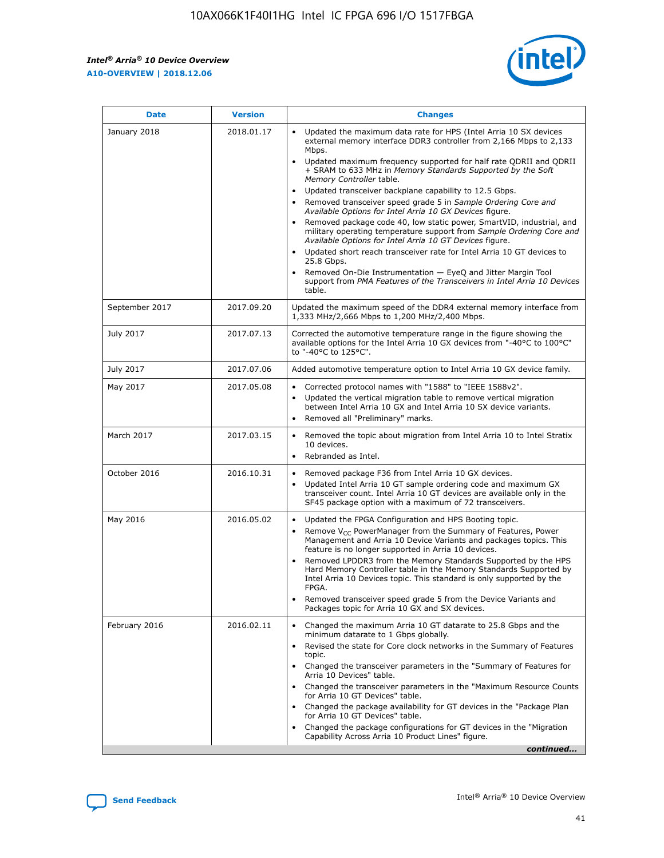

| <b>Date</b>    | <b>Version</b> | <b>Changes</b>                                                                                                                                                                                                                                                                                                                                                                                                                                                                                                                                                                                                                                                                                                                                                                                                                                                                                                                                                            |
|----------------|----------------|---------------------------------------------------------------------------------------------------------------------------------------------------------------------------------------------------------------------------------------------------------------------------------------------------------------------------------------------------------------------------------------------------------------------------------------------------------------------------------------------------------------------------------------------------------------------------------------------------------------------------------------------------------------------------------------------------------------------------------------------------------------------------------------------------------------------------------------------------------------------------------------------------------------------------------------------------------------------------|
| January 2018   | 2018.01.17     | Updated the maximum data rate for HPS (Intel Arria 10 SX devices<br>external memory interface DDR3 controller from 2,166 Mbps to 2,133<br>Mbps.<br>Updated maximum frequency supported for half rate QDRII and QDRII<br>+ SRAM to 633 MHz in Memory Standards Supported by the Soft<br>Memory Controller table.<br>Updated transceiver backplane capability to 12.5 Gbps.<br>$\bullet$<br>Removed transceiver speed grade 5 in Sample Ordering Core and<br>Available Options for Intel Arria 10 GX Devices figure.<br>Removed package code 40, low static power, SmartVID, industrial, and<br>military operating temperature support from Sample Ordering Core and<br>Available Options for Intel Arria 10 GT Devices figure.<br>Updated short reach transceiver rate for Intel Arria 10 GT devices to<br>25.8 Gbps.<br>Removed On-Die Instrumentation - EyeQ and Jitter Margin Tool<br>support from PMA Features of the Transceivers in Intel Arria 10 Devices<br>table. |
| September 2017 | 2017.09.20     | Updated the maximum speed of the DDR4 external memory interface from<br>1,333 MHz/2,666 Mbps to 1,200 MHz/2,400 Mbps.                                                                                                                                                                                                                                                                                                                                                                                                                                                                                                                                                                                                                                                                                                                                                                                                                                                     |
| July 2017      | 2017.07.13     | Corrected the automotive temperature range in the figure showing the<br>available options for the Intel Arria 10 GX devices from "-40°C to 100°C"<br>to "-40°C to 125°C".                                                                                                                                                                                                                                                                                                                                                                                                                                                                                                                                                                                                                                                                                                                                                                                                 |
| July 2017      | 2017.07.06     | Added automotive temperature option to Intel Arria 10 GX device family.                                                                                                                                                                                                                                                                                                                                                                                                                                                                                                                                                                                                                                                                                                                                                                                                                                                                                                   |
| May 2017       | 2017.05.08     | Corrected protocol names with "1588" to "IEEE 1588v2".<br>$\bullet$<br>Updated the vertical migration table to remove vertical migration<br>$\bullet$<br>between Intel Arria 10 GX and Intel Arria 10 SX device variants.<br>Removed all "Preliminary" marks.<br>$\bullet$                                                                                                                                                                                                                                                                                                                                                                                                                                                                                                                                                                                                                                                                                                |
| March 2017     | 2017.03.15     | Removed the topic about migration from Intel Arria 10 to Intel Stratix<br>10 devices.<br>Rebranded as Intel.<br>$\bullet$                                                                                                                                                                                                                                                                                                                                                                                                                                                                                                                                                                                                                                                                                                                                                                                                                                                 |
| October 2016   | 2016.10.31     | Removed package F36 from Intel Arria 10 GX devices.<br>Updated Intel Arria 10 GT sample ordering code and maximum GX<br>$\bullet$<br>transceiver count. Intel Arria 10 GT devices are available only in the<br>SF45 package option with a maximum of 72 transceivers.                                                                                                                                                                                                                                                                                                                                                                                                                                                                                                                                                                                                                                                                                                     |
| May 2016       | 2016.05.02     | Updated the FPGA Configuration and HPS Booting topic.<br>$\bullet$<br>Remove V <sub>CC</sub> PowerManager from the Summary of Features, Power<br>Management and Arria 10 Device Variants and packages topics. This<br>feature is no longer supported in Arria 10 devices.<br>Removed LPDDR3 from the Memory Standards Supported by the HPS<br>Hard Memory Controller table in the Memory Standards Supported by<br>Intel Arria 10 Devices topic. This standard is only supported by the<br>FPGA.<br>Removed transceiver speed grade 5 from the Device Variants and<br>Packages topic for Arria 10 GX and SX devices.                                                                                                                                                                                                                                                                                                                                                      |
| February 2016  | 2016.02.11     | Changed the maximum Arria 10 GT datarate to 25.8 Gbps and the<br>minimum datarate to 1 Gbps globally.<br>Revised the state for Core clock networks in the Summary of Features<br>$\bullet$<br>topic.<br>Changed the transceiver parameters in the "Summary of Features for<br>$\bullet$<br>Arria 10 Devices" table.<br>• Changed the transceiver parameters in the "Maximum Resource Counts<br>for Arria 10 GT Devices" table.<br>Changed the package availability for GT devices in the "Package Plan<br>for Arria 10 GT Devices" table.<br>Changed the package configurations for GT devices in the "Migration"<br>Capability Across Arria 10 Product Lines" figure.<br>continued                                                                                                                                                                                                                                                                                       |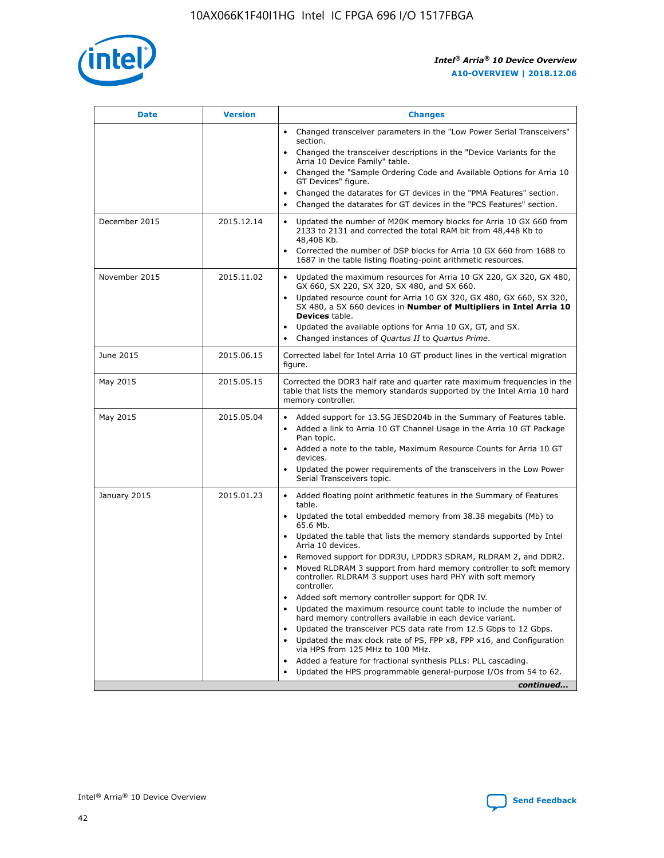

| <b>Date</b>   | <b>Version</b> | <b>Changes</b>                                                                                                                                                                   |
|---------------|----------------|----------------------------------------------------------------------------------------------------------------------------------------------------------------------------------|
|               |                | • Changed transceiver parameters in the "Low Power Serial Transceivers"<br>section.                                                                                              |
|               |                | • Changed the transceiver descriptions in the "Device Variants for the<br>Arria 10 Device Family" table.                                                                         |
|               |                | Changed the "Sample Ordering Code and Available Options for Arria 10<br>GT Devices" figure.                                                                                      |
|               |                | Changed the datarates for GT devices in the "PMA Features" section.                                                                                                              |
|               |                | Changed the datarates for GT devices in the "PCS Features" section.<br>$\bullet$                                                                                                 |
| December 2015 | 2015.12.14     | Updated the number of M20K memory blocks for Arria 10 GX 660 from<br>$\bullet$<br>2133 to 2131 and corrected the total RAM bit from 48,448 Kb to<br>48,408 Kb.                   |
|               |                | Corrected the number of DSP blocks for Arria 10 GX 660 from 1688 to<br>$\bullet$<br>1687 in the table listing floating-point arithmetic resources.                               |
| November 2015 | 2015.11.02     | Updated the maximum resources for Arria 10 GX 220, GX 320, GX 480,<br>$\bullet$<br>GX 660, SX 220, SX 320, SX 480, and SX 660.                                                   |
|               |                | Updated resource count for Arria 10 GX 320, GX 480, GX 660, SX 320,<br>$\bullet$<br>SX 480, a SX 660 devices in Number of Multipliers in Intel Arria 10<br><b>Devices</b> table. |
|               |                | Updated the available options for Arria 10 GX, GT, and SX.<br>$\bullet$                                                                                                          |
|               |                | Changed instances of Quartus II to Quartus Prime.<br>$\bullet$                                                                                                                   |
| June 2015     | 2015.06.15     | Corrected label for Intel Arria 10 GT product lines in the vertical migration<br>figure.                                                                                         |
| May 2015      | 2015.05.15     | Corrected the DDR3 half rate and quarter rate maximum frequencies in the<br>table that lists the memory standards supported by the Intel Arria 10 hard<br>memory controller.     |
| May 2015      | 2015.05.04     | • Added support for 13.5G JESD204b in the Summary of Features table.<br>• Added a link to Arria 10 GT Channel Usage in the Arria 10 GT Package<br>Plan topic.                    |
|               |                | • Added a note to the table, Maximum Resource Counts for Arria 10 GT<br>devices.                                                                                                 |
|               |                | Updated the power requirements of the transceivers in the Low Power<br>Serial Transceivers topic.                                                                                |
| January 2015  | 2015.01.23     | • Added floating point arithmetic features in the Summary of Features<br>table.                                                                                                  |
|               |                | • Updated the total embedded memory from 38.38 megabits (Mb) to<br>65.6 Mb.                                                                                                      |
|               |                | • Updated the table that lists the memory standards supported by Intel<br>Arria 10 devices.                                                                                      |
|               |                | Removed support for DDR3U, LPDDR3 SDRAM, RLDRAM 2, and DDR2.                                                                                                                     |
|               |                | Moved RLDRAM 3 support from hard memory controller to soft memory<br>controller. RLDRAM 3 support uses hard PHY with soft memory<br>controller.                                  |
|               |                | Added soft memory controller support for QDR IV.                                                                                                                                 |
|               |                | Updated the maximum resource count table to include the number of<br>hard memory controllers available in each device variant.                                                   |
|               |                | Updated the transceiver PCS data rate from 12.5 Gbps to 12 Gbps.<br>$\bullet$                                                                                                    |
|               |                | Updated the max clock rate of PS, FPP x8, FPP x16, and Configuration<br>via HPS from 125 MHz to 100 MHz.                                                                         |
|               |                | Added a feature for fractional synthesis PLLs: PLL cascading.                                                                                                                    |
|               |                | Updated the HPS programmable general-purpose I/Os from 54 to 62.                                                                                                                 |
|               |                | continued                                                                                                                                                                        |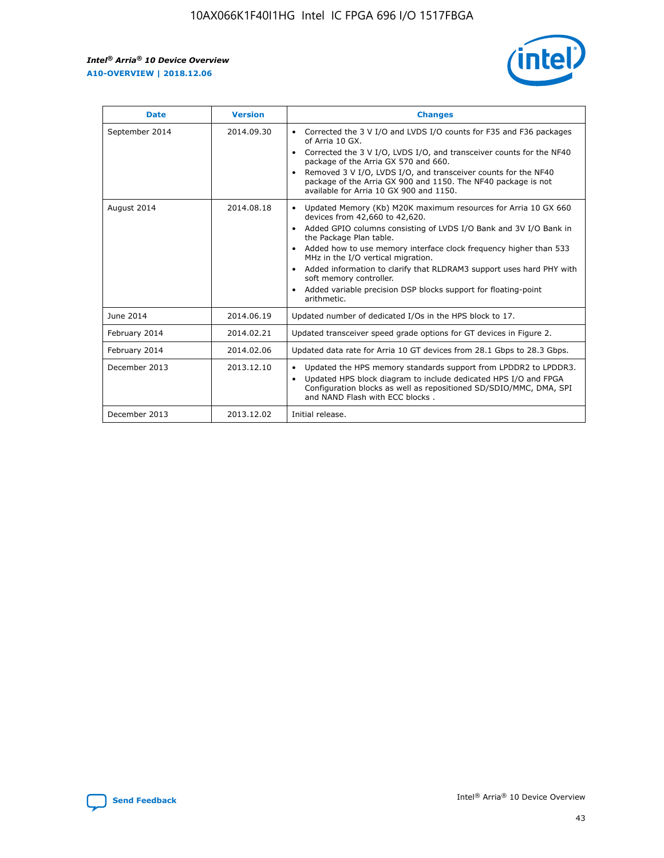r



| <b>Date</b>    | <b>Version</b> | <b>Changes</b>                                                                                                                                                                                                                                                                                                                                                                                                                                                                                                                                      |
|----------------|----------------|-----------------------------------------------------------------------------------------------------------------------------------------------------------------------------------------------------------------------------------------------------------------------------------------------------------------------------------------------------------------------------------------------------------------------------------------------------------------------------------------------------------------------------------------------------|
| September 2014 | 2014.09.30     | Corrected the 3 V I/O and LVDS I/O counts for F35 and F36 packages<br>$\bullet$<br>of Arria 10 GX.<br>Corrected the 3 V I/O, LVDS I/O, and transceiver counts for the NF40<br>$\bullet$<br>package of the Arria GX 570 and 660.<br>Removed 3 V I/O, LVDS I/O, and transceiver counts for the NF40<br>package of the Arria GX 900 and 1150. The NF40 package is not<br>available for Arria 10 GX 900 and 1150.                                                                                                                                       |
| August 2014    | 2014.08.18     | Updated Memory (Kb) M20K maximum resources for Arria 10 GX 660<br>devices from 42,660 to 42,620.<br>Added GPIO columns consisting of LVDS I/O Bank and 3V I/O Bank in<br>$\bullet$<br>the Package Plan table.<br>Added how to use memory interface clock frequency higher than 533<br>$\bullet$<br>MHz in the I/O vertical migration.<br>Added information to clarify that RLDRAM3 support uses hard PHY with<br>$\bullet$<br>soft memory controller.<br>Added variable precision DSP blocks support for floating-point<br>$\bullet$<br>arithmetic. |
| June 2014      | 2014.06.19     | Updated number of dedicated I/Os in the HPS block to 17.                                                                                                                                                                                                                                                                                                                                                                                                                                                                                            |
| February 2014  | 2014.02.21     | Updated transceiver speed grade options for GT devices in Figure 2.                                                                                                                                                                                                                                                                                                                                                                                                                                                                                 |
| February 2014  | 2014.02.06     | Updated data rate for Arria 10 GT devices from 28.1 Gbps to 28.3 Gbps.                                                                                                                                                                                                                                                                                                                                                                                                                                                                              |
| December 2013  | 2013.12.10     | Updated the HPS memory standards support from LPDDR2 to LPDDR3.<br>Updated HPS block diagram to include dedicated HPS I/O and FPGA<br>$\bullet$<br>Configuration blocks as well as repositioned SD/SDIO/MMC, DMA, SPI<br>and NAND Flash with ECC blocks.                                                                                                                                                                                                                                                                                            |
| December 2013  | 2013.12.02     | Initial release.                                                                                                                                                                                                                                                                                                                                                                                                                                                                                                                                    |